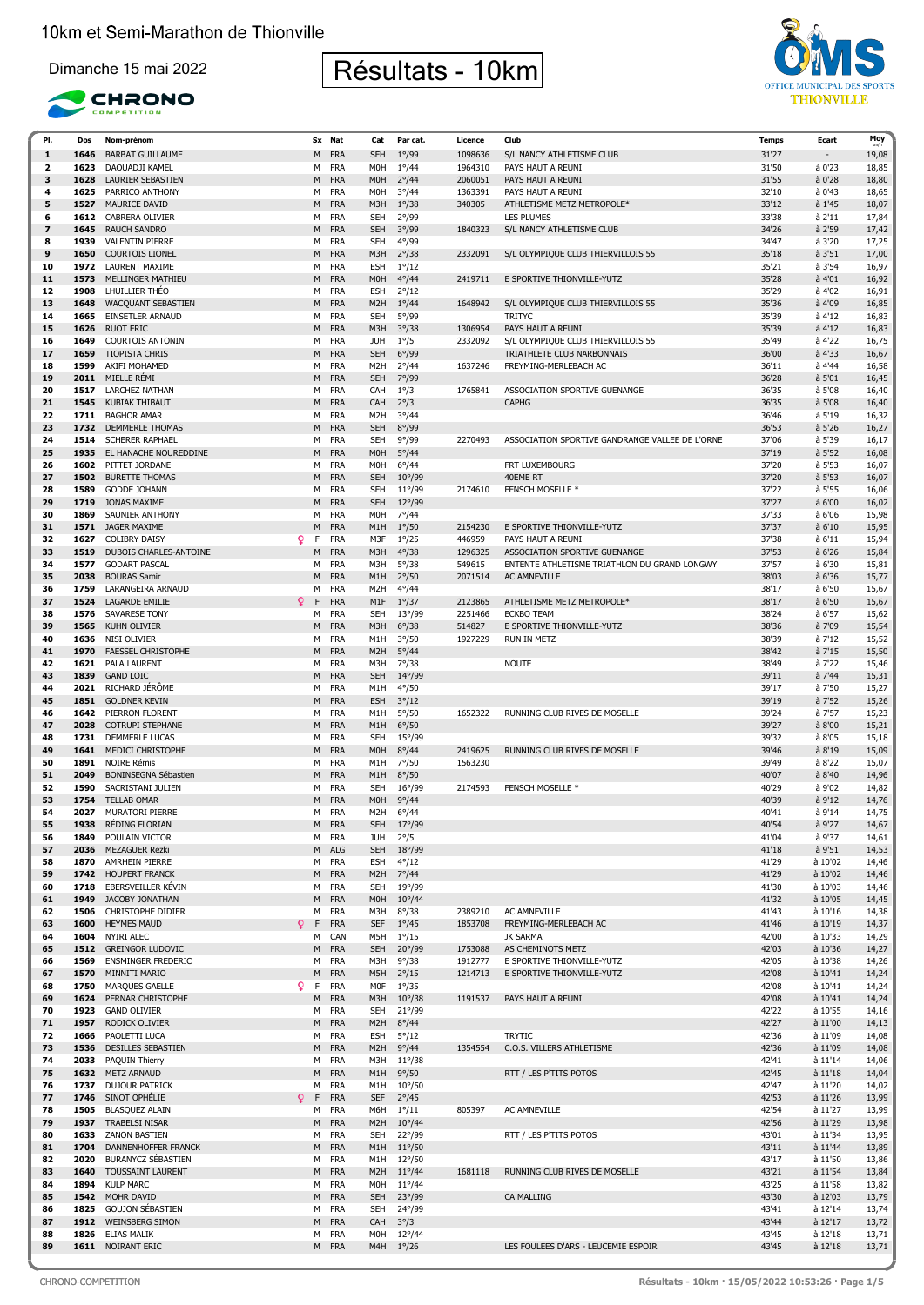





| PI.                     | Dos  | Nom-prénom                  |          | Sx Nat     | Cat              | Par cat.        | Licence | Club                                            | <b>Temps</b> | Ecart                    | Moy   |
|-------------------------|------|-----------------------------|----------|------------|------------------|-----------------|---------|-------------------------------------------------|--------------|--------------------------|-------|
| 1                       | 1646 | <b>BARBAT GUILLAUME</b>     |          | M FRA      | <b>SEH</b>       | $1^{\circ}/99$  | 1098636 | S/L NANCY ATHLETISME CLUB                       | 31'27        | $\overline{\phantom{a}}$ | 19,08 |
| $\overline{\mathbf{2}}$ | 1623 | DAOUADJI KAMEL              |          | M FRA      | M <sub>O</sub> H | $1^{\circ}/44$  | 1964310 | PAYS HAUT A REUNI                               | 31'50        | à 0'23                   | 18,85 |
| 3                       | 1628 | LAURIER SEBASTIEN           | M        | <b>FRA</b> | <b>MOH</b>       | $2^{\circ}/44$  | 2060051 | PAYS HAUT A REUNI                               | 31'55        | à 0'28                   | 18,80 |
| 4                       | 1625 | PARRICO ANTHONY             |          | M FRA      | <b>MOH</b>       | $3^{\circ}/44$  | 1363391 | PAYS HAUT A REUNI                               | 32'10        | à 0'43                   |       |
|                         |      |                             |          |            |                  |                 |         |                                                 |              |                          | 18,65 |
| 5                       | 1527 | MAURICE DAVID               | M        | <b>FRA</b> | M3H              | $1^{\circ}/38$  | 340305  | ATHLETISME METZ METROPOLE*                      | 33'12        | à 1'45                   | 18,07 |
| 6                       | 1612 | CABRERA OLIVIER             | м        | <b>FRA</b> | <b>SEH</b>       | $2^{\circ}/99$  |         | <b>LES PLUMES</b>                               | 33'38        | à 2'11                   | 17,84 |
| $\overline{\mathbf{z}}$ | 1645 | <b>RAUCH SANDRO</b>         | M        | <b>FRA</b> | <b>SEH</b>       | $3^{\circ}/99$  | 1840323 | S/L NANCY ATHLETISME CLUB                       | 34'26        | à 2'59                   | 17,42 |
| 8                       | 1939 | <b>VALENTIN PIERRE</b>      |          | M FRA      | <b>SEH</b>       | 4°/99           |         |                                                 | 34'47        | à 3'20                   | 17,25 |
| 9                       | 1650 | <b>COURTOIS LIONEL</b>      | M        | <b>FRA</b> | M3H              | $2^{\circ}/38$  | 2332091 | S/L OLYMPIQUE CLUB THIERVILLOIS 55              | 35'18        | à 3'51                   | 17,00 |
| 10                      | 1972 | <b>LAURENT MAXIME</b>       |          | M FRA      | <b>ESH</b>       | $1^{\circ}/12$  |         |                                                 | 35'21        | à 3'54                   | 16,97 |
| 11                      | 1573 | <b>MELLINGER MATHIEU</b>    | M        | <b>FRA</b> | <b>MOH</b>       | $4^{\circ}/44$  | 2419711 | E SPORTIVE THIONVILLE-YUTZ                      | 35'28        | à 4'01                   | 16,92 |
| 12                      | 1908 | LHUILLIER THEO              |          | <b>FRA</b> |                  |                 |         |                                                 |              | à 4'02                   |       |
|                         |      |                             | м        |            | <b>ESH</b>       | $2^{\circ}/12$  |         |                                                 | 35'29        |                          | 16,91 |
| 13                      | 1648 | WACQUANT SEBASTIEN          |          | M FRA      | M <sub>2</sub> H | $1^{\circ}/44$  | 1648942 | S/L OLYMPIQUE CLUB THIERVILLOIS 55              | 35'36        | à 4'09                   | 16,85 |
| 14                      | 1665 | <b>EINSETLER ARNAUD</b>     |          | M FRA      | <b>SEH</b>       | $5^{\circ}/99$  |         | <b>TRITYC</b>                                   | 35'39        | à 4'12                   | 16,83 |
| 15                      | 1626 | <b>RUOT ERIC</b>            | M        | <b>FRA</b> | M3H              | $3^{\circ}/38$  | 1306954 | PAYS HAUT A REUNI                               | 35'39        | à 4'12                   | 16,83 |
| 16                      | 1649 | <b>COURTOIS ANTONIN</b>     |          | M FRA      | JUH              | $1^{\circ}/5$   | 2332092 | S/L OLYMPIQUE CLUB THIERVILLOIS 55              | 35'49        | à 4'22                   | 16,75 |
| 17                      | 1659 | <b>TIOPISTA CHRIS</b>       | M        | <b>FRA</b> | <b>SEH</b>       | $6^{\circ}/99$  |         | TRIATHLETE CLUB NARBONNAIS                      | 36'00        | à 4'33                   | 16,67 |
| 18                      | 1599 | AKIFI MOHAMED               | м        | <b>FRA</b> | M <sub>2</sub> H | $2^{\circ}/44$  | 1637246 | FREYMING-MERLEBACH AC                           | 36'11        | à 4'44                   | 16,58 |
| 19                      | 2011 | MIELLE RÉMI                 | M        | <b>FRA</b> | <b>SEH</b>       | 7°/99           |         |                                                 | 36'28        | à 5'01                   | 16,45 |
|                         |      |                             |          |            |                  |                 |         |                                                 |              |                          |       |
| 20                      | 1517 | <b>LARCHEZ NATHAN</b>       |          | M FRA      | CAH              | $1^{\circ}/3$   | 1765841 | ASSOCIATION SPORTIVE GUENANGE                   | 36'35        | à 5'08                   | 16,40 |
| 21                      | 1545 | KUBIAK THIBAUT              | M        | <b>FRA</b> | CAH              | $2^{\circ}/3$   |         | <b>CAPHG</b>                                    | 36'35        | à 5'08                   | 16,40 |
| 22                      | 1711 | <b>BAGHOR AMAR</b>          |          | M FRA      | M <sub>2</sub> H | $3^{\circ}/44$  |         |                                                 | 36'46        | à 5'19                   | 16,32 |
| 23                      |      | 1732 DEMMERLE THOMAS        | M        | <b>FRA</b> | <b>SEH</b>       | $8^{\circ}/99$  |         |                                                 | 36'53        | à 5'26                   | 16,27 |
| 24                      | 1514 | <b>SCHERER RAPHAEL</b>      | м        | <b>FRA</b> | <b>SEH</b>       | 9°/99           | 2270493 | ASSOCIATION SPORTIVE GANDRANGE VALLEE DE L'ORNE | 37'06        | à 5'39                   | 16,17 |
| 25                      | 1935 | EL HANACHE NOUREDDINE       |          | M FRA      | <b>MOH</b>       | $5^{\circ}/44$  |         |                                                 | 37'19        | à 5'52                   | 16,08 |
| 26                      |      | 1602 PITTET JORDANE         |          | M FRA      | M <sub>O</sub> H | $6^{\circ}/44$  |         | FRT LUXEMBOURG                                  | 37'20        | à 5'53                   | 16,07 |
| 27                      | 1502 | <b>BURETTE THOMAS</b>       |          | <b>FRA</b> | <b>SEH</b>       |                 |         | 40EME RT                                        | 37'20        | à 5'53                   |       |
|                         |      |                             | M        |            |                  | $10^{\circ}/99$ |         |                                                 |              |                          | 16,07 |
| 28                      | 1589 | <b>GODDE JOHANN</b>         |          | M FRA      | <b>SEH</b>       | $11^{\circ}/99$ | 2174610 | FENSCH MOSELLE *                                | 37'22        | à 5'55                   | 16,06 |
| 29                      | 1719 | JONAS MAXIME                | M        | <b>FRA</b> | <b>SEH</b>       | $12^{\circ}/99$ |         |                                                 | 37'27        | à 6'00                   | 16,02 |
| 30                      | 1869 | SAUNIER ANTHONY             | м        | FRA        | M <sub>O</sub> H | 7°/44           |         |                                                 | 37'33        | à 6'06                   | 15,98 |
| 31                      | 1571 | <b>JAGER MAXIME</b>         | M        | <b>FRA</b> | M <sub>1</sub> H | $1^{\circ}/50$  | 2154230 | E SPORTIVE THIONVILLE-YUTZ                      | 37'37        | à 6'10                   | 15,95 |
| 32                      | 1627 | <b>COLIBRY DAISY</b>        | Q.<br>F  | <b>FRA</b> | M3F              | $1^{\circ}/25$  | 446959  | PAYS HAUT A REUNI                               | 37'38        | à 6'11                   | 15,94 |
| 33                      | 1519 | DUBOIS CHARLES-ANTOINE      | м        | <b>FRA</b> | M3H              | $4^{\circ}/38$  | 1296325 | ASSOCIATION SPORTIVE GUENANGE                   | 37'53        | $a$ 6'26                 | 15,84 |
| 34                      | 1577 | <b>GODART PASCAL</b>        |          | M FRA      | M3H              | $5^{\circ}/38$  | 549615  | ENTENTE ATHLETISME TRIATHLON DU GRAND LONGWY    | 37'57        | à 6'30                   | 15,81 |
| 35                      | 2038 | <b>BOURAS Samir</b>         | M        | <b>FRA</b> | M <sub>1</sub> H | $2^{\circ}/50$  | 2071514 | AC AMNEVILLE                                    | 38'03        | à 6'36                   | 15,77 |
|                         |      |                             |          |            |                  |                 |         |                                                 |              |                          |       |
| 36                      | 1759 | LARANGEIRA ARNAUD           | м        | <b>FRA</b> | M <sub>2</sub> H | $4^{\circ}/44$  |         |                                                 | 38'17        | à 6'50                   | 15,67 |
| 37                      | 1524 | <b>LAGARDE EMILIE</b>       | Q<br>F   | <b>FRA</b> | M1F              | $1^{\circ}/37$  | 2123865 | ATHLETISME METZ METROPOLE*                      | 38'17        | à 6'50                   | 15,67 |
| 38                      | 1576 | <b>SAVARESE TONY</b>        |          | M FRA      | <b>SEH</b>       | $13^{\circ}/99$ | 2251466 | <b>ECKBO TEAM</b>                               | 38'24        | à 6'57                   | 15,62 |
| 39                      | 1565 | <b>KUHN OLIVIER</b>         | M        | <b>FRA</b> | M3H              | $6^{\circ}/38$  | 514827  | E SPORTIVE THIONVILLE-YUTZ                      | 38'36        | à 7'09                   | 15,54 |
| 40                      | 1636 | NISI OLIVIER                |          | M FRA      | M1H              | $3^{\circ}/50$  | 1927229 | <b>RUN IN METZ</b>                              | 38'39        | à 7'12                   | 15,52 |
| 41                      | 1970 | <b>FAESSEL CHRISTOPHE</b>   |          | M FRA      | M <sub>2</sub> H | $5^{\circ}/44$  |         |                                                 | 38'42        | à 7'15                   | 15,50 |
| 42                      | 1621 | PALA LAURENT                |          | M FRA      | M3H              | $7^{\circ}/38$  |         | <b>NOUTE</b>                                    | 38'49        | à 7'22                   | 15,46 |
| 43                      | 1839 | <b>GAND LOIC</b>            |          | M FRA      | <b>SEH</b>       | 14°/99          |         |                                                 | 39'11        | $a$ 7'44                 | 15,31 |
|                         |      |                             |          |            |                  |                 |         |                                                 |              |                          |       |
| 44                      | 2021 | RICHARD JÉRÔME              |          | M FRA      | M1H              | $4^{\circ}/50$  |         |                                                 | 39'17        | à 7'50                   | 15,27 |
| 45                      | 1851 | <b>GOLDNER KEVIN</b>        | M        | <b>FRA</b> | <b>ESH</b>       | $3^{\circ}/12$  |         |                                                 | 39'19        | à 7'52                   | 15,26 |
| 46                      | 1642 | PIERRON FLORENT             |          | M FRA      | M1H              | $5^{\circ}/50$  | 1652322 | RUNNING CLUB RIVES DE MOSELLE                   | 39'24        | à 7'57                   | 15,23 |
| 47                      | 2028 | <b>COTRUPI STEPHANE</b>     |          | M FRA      | M <sub>1</sub> H | $6^{\circ}/50$  |         |                                                 | 39'27        | à 8'00                   | 15,21 |
| 48                      | 1731 | DEMMERLE LUCAS              | М        | FRA        | <b>SEH</b>       | $15^{\circ}/99$ |         |                                                 | 39'32        | à 8'05                   | 15,18 |
| 49                      | 1641 | MEDICI CHRISTOPHE           | M        | <b>FRA</b> | M <sub>O</sub> H | $8^{\circ}/44$  | 2419625 | <b>RUNNING CLUB RIVES DE MOSELLE</b>            | 39'46        | a8'19                    | 15,09 |
| 50                      | 1891 | NOIRE Rémis                 | м        | <b>FRA</b> | M1H              | $7^{\circ}/50$  | 1563230 |                                                 | 39'49        | à 8'22                   | 15,07 |
|                         |      |                             |          |            |                  |                 |         |                                                 |              |                          |       |
| 51                      | 2049 | <b>BONINSEGNA Sébastien</b> | M        | <b>FRA</b> | M <sub>1</sub> H | $8^{\circ}/50$  |         |                                                 | 40'07        | a 8'40                   | 14,96 |
| 52                      | 1590 | SACRISTANI JULIEN           |          | M FRA      | <b>SEH</b>       | $16^{\circ}/99$ | 2174593 | <b>FENSCH MOSELLE *</b>                         | 40'29        | à 9'02                   | 14,82 |
| 53                      | 1754 | <b>TELLAB OMAR</b>          | M        | <b>FRA</b> | <b>MOH</b>       | 9°/44           |         |                                                 | 40'39        | à 9'12                   | 14,76 |
| 54                      | 2027 | <b>MURATORI PIERRE</b>      | м        | FRA        | M <sub>2</sub> H | $6^{\circ}/44$  |         |                                                 | 40'41        | à 9'14                   | 14,75 |
| 55                      | 1938 | RÉDING FLORIAN              | M        | <b>FRA</b> | <b>SEH</b>       | $17^{\circ}/99$ |         |                                                 | 40'54        | à 9'27                   | 14,67 |
| 56                      | 1849 | POULAIN VICTOR              |          | M FRA      | JUH              | $2^{\circ}/5$   |         |                                                 | 41'04        | à 9'37                   | 14,61 |
| 57                      | 2036 | <b>MEZAGUER Rezki</b>       |          | M ALG      | <b>SEH</b>       | $18^{\circ}/99$ |         |                                                 | 41'18        | à 9'51                   | 14,53 |
| 58                      | 1870 | AMRHEIN PIERRE              |          | M FRA      | <b>ESH</b>       | $4^{\circ}/12$  |         |                                                 | 41'29        | à 10'02                  | 14,46 |
|                         |      | 1742 HOUPERT FRANCK         |          |            |                  |                 |         |                                                 |              |                          |       |
| 59                      |      |                             |          | M FRA      | M <sub>2</sub> H | $7^{\circ}/44$  |         |                                                 | 41'29        | à 10'02                  | 14,46 |
| 60                      | 1718 | EBERSVEILLER KÉVIN          |          | M FRA      | <b>SEH</b>       | 19°/99          |         |                                                 | 41'30        | à 10'03                  | 14,46 |
| 61                      | 1949 | JACOBY JONATHAN             |          | M FRA      | <b>MOH</b>       | $10^{\circ}/44$ |         |                                                 | 41'32        | à 10'05                  | 14,45 |
| 62                      | 1506 | CHRISTOPHE DIDIER           | М        | <b>FRA</b> | M3H              | $8^{\circ}/38$  | 2389210 | AC AMNEVILLE                                    | 41'43        | à 10'16                  | 14,38 |
| 63                      | 1600 | <b>HEYMES MAUD</b>          | Q<br>F   | <b>FRA</b> | <b>SEF</b>       | $1^{\circ}/45$  | 1853708 | FREYMING-MERLEBACH AC                           | 41'46        | à 10'19                  | 14,37 |
| 64                      | 1604 | NYIRI ALEC                  |          | M CAN      | M5H              | $1^{\circ}/15$  |         | <b>JK SARMA</b>                                 | 42'00        | à 10'33                  | 14,29 |
| 65                      |      | 1512 GREINGOR LUDOVIC       |          | M FRA      | <b>SEH</b>       | $20^{\circ}/99$ | 1753088 | AS CHEMINOTS METZ                               | 42'03        | à 10'36                  | 14,27 |
| 66                      | 1569 | <b>ENSMINGER FREDERIC</b>   |          | M FRA      | M3H              | $9^{\circ}/38$  | 1912777 | E SPORTIVE THIONVILLE-YUTZ                      | 42'05        | à 10'38                  | 14,26 |
| 67                      | 1570 | MINNITI MARIO               |          | M FRA      | M5H              | $2^{\circ}/15$  | 1214713 | E SPORTIVE THIONVILLE-YUTZ                      | 42'08        | à 10'41                  | 14,24 |
|                         |      |                             |          |            |                  |                 |         |                                                 |              |                          |       |
| 68                      | 1750 | MARQUES GAELLE              | Q.<br>F. | <b>FRA</b> | M0F              | $1^{\circ}/35$  |         |                                                 | 42'08        | à 10'41                  | 14,24 |
| 69                      | 1624 | PERNAR CHRISTOPHE           | M        | <b>FRA</b> | M3H              | $10^{\circ}/38$ | 1191537 | PAYS HAUT A REUNI                               | 42'08        | à 10'41                  | 14,24 |
| 70                      | 1923 | <b>GAND OLIVIER</b>         |          | M FRA      | SEH              | $21^{\circ}/99$ |         |                                                 | 42'22        | à 10'55                  | 14,16 |
| 71                      | 1957 | <b>RODICK OLIVIER</b>       |          | M FRA      | M <sub>2</sub> H | $8^{\circ}/44$  |         |                                                 | 42'27        | à 11'00                  | 14,13 |
| 72                      | 1666 | PAOLETTI LUCA               |          | M FRA      | <b>ESH</b>       | $5^{\circ}/12$  |         | <b>TRYTIC</b>                                   | 42'36        | à 11'09                  | 14,08 |
| 73                      | 1536 | DESILLES SEBASTIEN          |          | M FRA      | M <sub>2</sub> H | $9^{\circ}/44$  | 1354554 | C.O.S. VILLERS ATHLETISME                       | 42'36        | à 11'09                  | 14,08 |
| 74                      | 2033 | PAQUIN Thierry              |          | M FRA      | M3H              | $11^{\circ}/38$ |         |                                                 | 42'41        | à 11'14                  | 14,06 |
| 75                      |      |                             |          |            |                  |                 |         |                                                 | 42'45        |                          |       |
|                         |      | 1632 METZ ARNAUD            |          | M FRA      | M <sub>1</sub> H | $9^{\circ}/50$  |         | RTT / LES P'TITS POTOS                          |              | à 11'18                  | 14,04 |
| 76                      |      | 1737 DUJOUR PATRICK         |          | M FRA      | M1H              | $10^{\circ}/50$ |         |                                                 | 42'47        | à 11'20                  | 14,02 |
| 77                      |      | 1746 SINOT OPHÉLIE          | Q<br>F   | <b>FRA</b> | <b>SEF</b>       | $2^{\circ}/45$  |         |                                                 | 42'53        | à 11'26                  | 13,99 |
| 78                      |      | 1505 BLASQUEZ ALAIN         |          | M FRA      | M6H              | $1^{\circ}/11$  | 805397  | <b>AC AMNEVILLE</b>                             | 42'54        | à 11'27                  | 13,99 |
| 79                      |      | 1937 TRABELSI NISAR         |          | M FRA      | M <sub>2</sub> H | $10^{\circ}/44$ |         |                                                 | 42'56        | à 11'29                  | 13,98 |
| 80                      | 1633 | <b>ZANON BASTIEN</b>        |          | M FRA      | <b>SEH</b>       | $22^{\circ}/99$ |         | RTT / LES P'TITS POTOS                          | 43'01        | à 11'34                  | 13,95 |
| 81                      | 1704 | DANNENHOFFER FRANCK         |          | M FRA      | M <sub>1</sub> H | $11^{\circ}/50$ |         |                                                 | 43'11        | à 11'44                  | 13,89 |
| 82                      | 2020 | BURANYCZ SÉBASTIEN          |          | M FRA      | M1H              | $12^{\circ}/50$ |         |                                                 | 43'17        | à 11'50                  | 13,86 |
|                         |      |                             |          |            |                  |                 |         |                                                 |              |                          |       |
| 83                      |      | 1640 TOUSSAINT LAURENT      |          | M FRA      | M <sub>2</sub> H | $11^{\circ}/44$ | 1681118 | RUNNING CLUB RIVES DE MOSELLE                   | 43'21        | à 11'54                  | 13,84 |
| 84                      | 1894 | <b>KULP MARC</b>            |          | M FRA      | M <sub>O</sub> H | $11^{\circ}/44$ |         |                                                 | 43'25        | à 11'58                  | 13,82 |
| 85                      |      | 1542 MOHR DAVID             |          | M FRA      | <b>SEH</b>       | 23°/99          |         | CA MALLING                                      | 43'30        | à 12'03                  | 13,79 |
| 86                      | 1825 | <b>GOUJON SÉBASTIEN</b>     |          | M FRA      | <b>SEH</b>       | 24°/99          |         |                                                 | 43'41        | à 12'14                  | 13,74 |
| 87                      | 1912 | <b>WEINSBERG SIMON</b>      |          | M FRA      | CAH              | $3^{\circ}/3$   |         |                                                 | 43'44        | à 12'17                  | 13,72 |
| 88                      | 1826 | ELIAS MALIK                 |          | M FRA      | <b>MOH</b>       | $12^{\circ}/44$ |         |                                                 | 43'45        | à 12'18                  | 13,71 |
| 89                      |      | 1611 NOIRANT ERIC           |          | M FRA      | M4H              | $1^{\circ}/26$  |         | LES FOULEES D'ARS - LEUCEMIE ESPOIR             | 43'45        | à 12'18                  | 13,71 |
|                         |      |                             |          |            |                  |                 |         |                                                 |              |                          |       |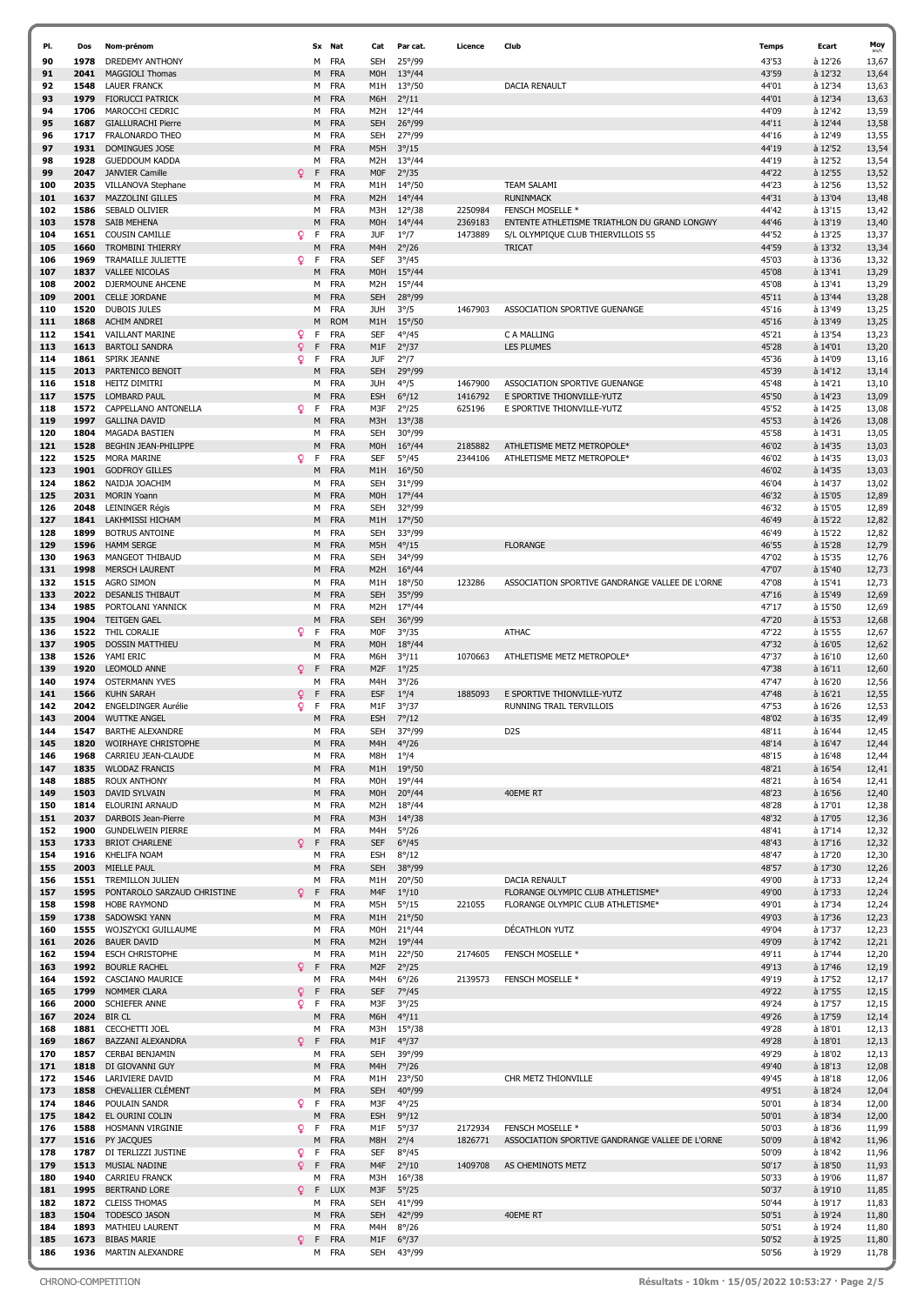| PI.        | Dos          | Nom-prénom                                      |         |        | Sx Nat                   | Cat                            | Par cat.                           | Licence            | Club                                                                               | Temps          | Ecart              | Moy            |
|------------|--------------|-------------------------------------------------|---------|--------|--------------------------|--------------------------------|------------------------------------|--------------------|------------------------------------------------------------------------------------|----------------|--------------------|----------------|
| 90         | 1978         | <b>DREDEMY ANTHONY</b>                          |         | м      | <b>FRA</b>               | <b>SEH</b>                     | 25°/99                             |                    |                                                                                    | 43'53          | à 12'26            | 13,67          |
| 91         | 2041         | <b>MAGGIOLI Thomas</b>                          |         | M      | <b>FRA</b>               | M <sub>O</sub> H               | $13^{\circ}/44$                    |                    |                                                                                    | 43'59          | à 12'32            | 13,64          |
| 92         | 1548         | <b>LAUER FRANCK</b>                             |         |        | M FRA                    | M1H                            | $13^{\circ}/50$                    |                    | <b>DACIA RENAULT</b>                                                               | 44'01          | à 12'34            | 13,63          |
| 93         | 1979         | <b>FIORUCCI PATRICK</b>                         |         | M      | <b>FRA</b>               | M6H                            | $2^{\circ}/11$                     |                    |                                                                                    | 44'01          | à 12'34            | 13,63          |
| 94<br>95   | 1706<br>1687 | MAROCCHI CEDRIC<br><b>GIALLURACHI Pierre</b>    |         | M      | M FRA<br><b>FRA</b>      | M <sub>2</sub> H<br><b>SEH</b> | $12^{\circ}/44$<br>$26^{\circ}/99$ |                    |                                                                                    | 44'09<br>44'11 | à 12'42<br>à 12'44 | 13,59<br>13,58 |
| 96         | 1717         | FRALONARDO THEO                                 |         | м      | <b>FRA</b>               | <b>SEH</b>                     | 27°/99                             |                    |                                                                                    | 44'16          | à 12'49            | 13,55          |
| 97         | 1931         | <b>DOMINGUES JOSE</b>                           |         | M      | <b>FRA</b>               | M5H                            | $3^{\circ}/15$                     |                    |                                                                                    | 44'19          | à 12'52            | 13,54          |
| 98         | 1928         | <b>GUEDDOUM KADDA</b>                           |         | м      | <b>FRA</b>               | M <sub>2</sub> H               | $13^{\circ}/44$                    |                    |                                                                                    | 44'19          | à 12'52            | 13,54          |
| 99         | 2047         | <b>JANVIER Camille</b>                          | Q       | F      | <b>FRA</b>               | <b>MOF</b>                     | $2^{\circ}/35$                     |                    |                                                                                    | 44'22          | à 12'55            | 13,52          |
| 100        | 2035         | VILLANOVA Stephane                              |         | M      | <b>FRA</b>               | M1H                            | $14^{\circ}/50$                    |                    | <b>TEAM SALAMI</b>                                                                 | 44'23          | à 12'56            | 13,52          |
| 101        | 1637         | <b>MAZZOLINI GILLES</b>                         |         | M      | <b>FRA</b>               | M <sub>2</sub> H               | $14^{\circ}/44$                    |                    | <b>RUNINMACK</b>                                                                   | 44'31          | à 13'04            | 13,48          |
| 102        | 1586         | SEBALD OLIVIER                                  |         | м      | <b>FRA</b>               | M3H                            | $12^{\circ}/38$                    | 2250984            | FENSCH MOSELLE *                                                                   | 44'42          | à 13'15            | 13,42          |
| 103<br>104 | 1578<br>1651 | <b>SAIB MEHENA</b><br><b>COUSIN CAMILLE</b>     | Q.      | M<br>F | <b>FRA</b><br><b>FRA</b> | M <sub>O</sub> H<br><b>JUF</b> | $14^{\circ}/44$<br>$1^{\circ}/7$   | 2369183<br>1473889 | ENTENTE ATHLETISME TRIATHLON DU GRAND LONGWY<br>S/L OLYMPIQUE CLUB THIERVILLOIS 55 | 44'46<br>44'52 | à 13'19<br>à 13'25 | 13,40<br>13,37 |
| 105        | 1660         | <b>TROMBINI THIERRY</b>                         |         | М      | <b>FRA</b>               | M4H                            | $2^{\circ}/26$                     |                    | <b>TRICAT</b>                                                                      | 44'59          | à 13'32            | 13,34          |
| 106        | 1969         | TRAMAILLE JULIETTE                              | Q.      | F      | <b>FRA</b>               | SEF                            | $3^{\circ}/45$                     |                    |                                                                                    | 45'03          | à 13'36            | 13,32          |
| 107        | 1837         | <b>VALLEE NICOLAS</b>                           |         | M      | <b>FRA</b>               | M <sub>O</sub> H               | $15^{\circ}/44$                    |                    |                                                                                    | 45'08          | à 13'41            | 13,29          |
| 108        | 2002         | DJERMOUNE AHCENE                                |         | м      | <b>FRA</b>               | M <sub>2</sub> H               | $15^{\circ}/44$                    |                    |                                                                                    | 45'08          | à 13'41            | 13,29          |
| 109        | 2001         | <b>CELLE JORDANE</b>                            |         | M      | <b>FRA</b>               | <b>SEH</b>                     | 28°/99                             |                    |                                                                                    | 45'11          | à 13'44            | 13,28          |
| 110        | 1520         | <b>DUBOIS JULES</b>                             |         | M      | <b>FRA</b>               | JUH                            | $3^{\circ}/5$                      | 1467903            | ASSOCIATION SPORTIVE GUENANGE                                                      | 45'16          | à 13'49            | 13,25          |
| 111        | 1868         | <b>ACHIM ANDREI</b>                             |         | М      | <b>ROM</b>               | M1H                            | $15^{\circ}/50$                    |                    |                                                                                    | 45'16          | à 13'49            | 13,25          |
| 112<br>113 | 1541<br>1613 | <b>VAILLANT MARINE</b><br><b>BARTOLI SANDRA</b> | Q.<br>Q | F<br>F | <b>FRA</b><br><b>FRA</b> | <b>SEF</b><br>M1F              | $4^{\circ}/45$<br>$2^{\circ}/37$   |                    | C A MALLING<br><b>LES PLUMES</b>                                                   | 45'21<br>45'28 | à 13'54<br>à 14'01 | 13,23<br>13,20 |
| 114        | 1861         | SPIRK JEANNE                                    | Q.      | F      | <b>FRA</b>               | <b>JUF</b>                     | $2^{\circ}/7$                      |                    |                                                                                    | 45'36          | à 14'09            | 13,16          |
| 115        | 2013         | PARTENICO BENOIT                                |         | M      | <b>FRA</b>               | <b>SEH</b>                     | 29°/99                             |                    |                                                                                    | 45'39          | à 14'12            | 13,14          |
| 116        | 1518         | <b>HEITZ DIMITRI</b>                            |         | м      | <b>FRA</b>               | JUH                            | $4^{\circ}/5$                      | 1467900            | ASSOCIATION SPORTIVE GUENANGE                                                      | 45'48          | à 14'21            | 13,10          |
| 117        | 1575         | <b>LOMBARD PAUL</b>                             |         | М      | <b>FRA</b>               | <b>ESH</b>                     | $6^{\circ}/12$                     | 1416792            | E SPORTIVE THIONVILLE-YUTZ                                                         | 45'50          | à 14'23            | 13,09          |
| 118        | 1572         | CAPPELLANO ANTONELLA                            | Q.      | F      | <b>FRA</b>               | M3F                            | $2^{\circ}/25$                     | 625196             | E SPORTIVE THIONVILLE-YUTZ                                                         | 45'52          | à 14'25            | 13,08          |
| 119        | 1997         | <b>GALLINA DAVID</b>                            |         | M      | <b>FRA</b>               | M3H                            | $13^{\circ}/38$                    |                    |                                                                                    | 45'53          | à 14'26            | 13,08          |
| 120        | 1804         | <b>MAGADA BASTIEN</b>                           |         | М      | <b>FRA</b>               | <b>SEH</b>                     | $30^\circ/99$                      |                    |                                                                                    | 45'58          | à 14'31            | 13,05          |
| 121<br>122 | 1528<br>1525 | BEGHIN JEAN-PHILIPPE<br><b>MORA MARINE</b>      | Q.      | м<br>F | <b>FRA</b><br><b>FRA</b> | M <sub>O</sub> H<br><b>SEF</b> | $16^{\circ}/44$<br>$5^{\circ}/45$  | 2185882<br>2344106 | ATHLETISME METZ METROPOLE*<br>ATHLETISME METZ METROPOLE*                           | 46'02<br>46'02 | à 14'35<br>à 14'35 | 13,03<br>13,03 |
| 123        | 1901         | <b>GODFROY GILLES</b>                           |         | М      | <b>FRA</b>               | M1H                            | $16^{\circ}/50$                    |                    |                                                                                    | 46'02          | à 14'35            | 13,03          |
| 124        | 1862         | NAIDJA JOACHIM                                  |         | м      | <b>FRA</b>               | <b>SEH</b>                     | $31^{\circ}/99$                    |                    |                                                                                    | 46'04          | à 14'37            | 13,02          |
| 125        | 2031         | <b>MORIN Yoann</b>                              |         | M      | <b>FRA</b>               | M <sub>O</sub> H               | $17^{\circ}/44$                    |                    |                                                                                    | 46'32          | à 15'05            | 12,89          |
| 126        | 2048         | LEININGER Régis                                 |         | м      | <b>FRA</b>               | <b>SEH</b>                     | 32°/99                             |                    |                                                                                    | 46'32          | à 15'05            | 12,89          |
| 127        | 1841         | <b>LAKHMISSI HICHAM</b>                         |         |        | M FRA                    | M1H                            | $17^{\circ}/50$                    |                    |                                                                                    | 46'49          | à 15'22            | 12,82          |
| 128        | 1899         | <b>BOTRUS ANTOINE</b>                           |         | м      | <b>FRA</b>               | <b>SEH</b>                     | 33°/99                             |                    |                                                                                    | 46'49          | à 15'22            | 12,82          |
| 129        | 1596         | <b>HAMM SERGE</b>                               |         | M      | <b>FRA</b>               | M5H                            | $4^{\circ}/15$                     |                    | <b>FLORANGE</b>                                                                    | 46'55          | à 15'28            | 12,79          |
| 130<br>131 | 1963<br>1998 | MANGEOT THIBAUD<br><b>MERSCH LAURENT</b>        |         | M      | M FRA<br><b>FRA</b>      | <b>SEH</b><br>M <sub>2</sub> H | 34°/99<br>$16^{\circ}/44$          |                    |                                                                                    | 47'02<br>47'07 | à 15'35<br>à 15'40 | 12,76<br>12,73 |
| 132        | 1515         | <b>AGRO SIMON</b>                               |         | м      | <b>FRA</b>               | M1H                            | $18^{\circ}/50$                    | 123286             | ASSOCIATION SPORTIVE GANDRANGE VALLEE DE L'ORNE                                    | 47'08          | à 15'41            | 12,73          |
| 133        | 2022         | <b>DESANLIS THIBAUT</b>                         |         | M      | <b>FRA</b>               | <b>SEH</b>                     | $35^{\circ}/99$                    |                    |                                                                                    | 47'16          | à 15'49            | 12,69          |
| 134        | 1985         | PORTOLANI YANNICK                               |         | м      | <b>FRA</b>               | M <sub>2</sub> H               | $17^{\circ}/44$                    |                    |                                                                                    | 47'17          | à 15'50            | 12,69          |
| 135        | 1904         | <b>TEITGEN GAEL</b>                             |         | М      | <b>FRA</b>               | <b>SEH</b>                     | 36°/99                             |                    |                                                                                    | 47'20          | à 15'53            | 12,68          |
| 136        | 1522         | THIL CORALIE                                    | Q.      | F      | <b>FRA</b>               | <b>MOF</b>                     | $3^{\circ}/35$                     |                    | <b>ATHAC</b>                                                                       | 47'22          | à 15'55            | 12,67          |
| 137        | 1905         | <b>DOSSIN MATTHIEU</b>                          |         | M      | <b>FRA</b>               | M <sub>O</sub> H               | $18^{\circ}/44$                    |                    |                                                                                    | 47'32          | à 16'05            | 12,62          |
| 138<br>139 | 1526<br>1920 | YAMI ERIC<br><b>LEOMOLD ANNE</b>                | Q       | М<br>F | <b>FRA</b><br><b>FRA</b> | M6H<br>M <sub>2F</sub>         | $3^{\circ}/11$<br>$1^{\circ}/25$   | 1070663            | ATHLETISME METZ METROPOLE*                                                         | 47'37<br>47'38 | à 16'10<br>à 16'11 | 12,60<br>12,60 |
| 140        | 1974         | <b>OSTERMANN YVES</b>                           |         | м      | <b>FRA</b>               | M4H                            | $3^{\circ}/26$                     |                    |                                                                                    | 47'47          | à 16'20            | 12,56          |
| 141        | 1566         | <b>KUHN SARAH</b>                               | Q       | F      | <b>FRA</b>               | <b>ESF</b>                     | $1^{\circ}/4$                      | 1885093            | E SPORTIVE THIONVILLE-YUTZ                                                         | 47'48          | à 16'21            | 12,55          |
| 142        | 2042         | <b>ENGELDINGER Aurélie</b>                      | Q.      | F      | <b>FRA</b>               | M1F                            | $3^{\circ}/37$                     |                    | RUNNING TRAIL TERVILLOIS                                                           | 47'53          | à 16'26            | 12,53          |
| 143        | 2004         | <b>WUTTKE ANGEL</b>                             |         | M      | <b>FRA</b>               | <b>ESH</b>                     | $7^{\circ}/12$                     |                    |                                                                                    | 48'02          | à 16'35            | 12,49          |
| 144        | 1547         | <b>BARTHE ALEXANDRE</b>                         |         | M      | FRA                      | <b>SEH</b>                     | 37°/99                             |                    | D <sub>2</sub> S                                                                   | 48'11          | à 16'44            | 12,45          |
| 145        | 1820         | WOIRHAYE CHRISTOPHE                             |         |        | M FRA                    | M4H                            | $4^{\circ}/26$                     |                    |                                                                                    | 48'14          | a 16'47            | 12,44          |
| 146<br>147 | 1968<br>1835 | CARRIEU JEAN-CLAUDE<br><b>WLODAZ FRANCIS</b>    |         |        | M FRA<br>M FRA           | M8H<br>M1H                     | $1^{\circ}/4$<br>$19^{\circ}/50$   |                    |                                                                                    | 48'15<br>48'21 | à 16'48<br>à 16'54 | 12,44<br>12,41 |
| 148        | 1885         | <b>ROUX ANTHONY</b>                             |         |        | M FRA                    | <b>MOH</b>                     | $19^{\circ}/44$                    |                    |                                                                                    | 48'21          | à 16'54            | 12,41          |
| 149        | 1503         | <b>DAVID SYLVAIN</b>                            |         | M      | <b>FRA</b>               | M <sub>O</sub> H               | $20^{\circ}/44$                    |                    | 40EME RT                                                                           | 48'23          | à 16'56            | 12,40          |
| 150        | 1814         | ELOURINI ARNAUD                                 |         | м      | <b>FRA</b>               | M <sub>2</sub> H               | $18^{\circ}/44$                    |                    |                                                                                    | 48'28          | à 17'01            | 12,38          |
| 151        | 2037         | DARBOIS Jean-Pierre                             |         |        | M FRA                    | M3H                            | $14^{\circ}/38$                    |                    |                                                                                    | 48'32          | à 17'05            | 12,36          |
| 152        | 1900         | <b>GUNDELWEIN PIERRE</b>                        |         | М      | <b>FRA</b>               | M4H                            | $5^{\circ}/26$                     |                    |                                                                                    | 48'41          | à 17'14            | 12,32          |
| 153        | 1733         | <b>BRIOT CHARLENE</b>                           | Q       | F      | <b>FRA</b>               | <b>SEF</b>                     | $6^{\circ}/45$                     |                    |                                                                                    | 48'43          | à 17'16            | 12,32          |
| 154<br>155 | 1916         | KHELIFA NOAM<br>2003 MIELLE PAUL                |         | м<br>м | FRA<br><b>FRA</b>        | <b>ESH</b><br><b>SEH</b>       | $8^{\circ}/12$<br>38°/99           |                    |                                                                                    | 48'47<br>48'57 | à 17'20<br>à 17'30 | 12,30<br>12,26 |
| 156        | 1551         | <b>TREMILLON JULIEN</b>                         |         | М      | <b>FRA</b>               | M1H                            | $20^{\circ}/50$                    |                    | <b>DACIA RENAULT</b>                                                               | 49'00          | à 17'33            | 12,24          |
| 157        | 1595         | PONTAROLO SARZAUD CHRISTINE                     | Q       | F      | <b>FRA</b>               | M4F                            | $1^{\circ}/10$                     |                    | FLORANGE OLYMPIC CLUB ATHLETISME*                                                  | 49'00          | à 17'33            | 12,24          |
| 158        | 1598         | <b>HOBE RAYMOND</b>                             |         | м      | <b>FRA</b>               | M5H                            | $5^{\circ}/15$                     | 221055             | FLORANGE OLYMPIC CLUB ATHLETISME*                                                  | 49'01          | à 17'34            | 12,24          |
| 159        | 1738         | SADOWSKI YANN                                   |         | M      | <b>FRA</b>               | M1H                            | $21^{\circ}/50$                    |                    |                                                                                    | 49'03          | à 17'36            | 12,23          |
| 160        | 1555         | WOJSZYCKI GUILLAUME                             |         |        | M FRA                    | M <sub>O</sub> H               | $21^{\circ}/44$                    |                    | DÉCATHLON YUTZ                                                                     | 49'04          | à 17'37            | 12,23          |
| 161<br>162 | 2026<br>1594 | <b>BAUER DAVID</b><br><b>ESCH CHRISTOPHE</b>    |         | M<br>м | <b>FRA</b><br><b>FRA</b> | M <sub>2</sub> H<br>M1H        | $19^{\circ}/44$<br>$22^{\circ}/50$ | 2174605            | FENSCH MOSELLE *                                                                   | 49'09<br>49'11 | à 17'42<br>à 17'44 | 12,21<br>12,20 |
| 163        | 1992         | <b>BOURLE RACHEL</b>                            | Q.      | F      | <b>FRA</b>               | M <sub>2F</sub>                | $2^{\circ}/25$                     |                    |                                                                                    | 49'13          | à 17'46            | 12,19          |
| 164        |              | 1592 CASCIANO MAURICE                           |         | м      | <b>FRA</b>               | M4H                            | $6^{\circ}/26$                     | 2139573            | FENSCH MOSELLE *                                                                   | 49'19          | à 17'52            | 12,17          |
| 165        | 1799         | NOMMER CLARA                                    | Q       | F      | <b>FRA</b>               | <b>SEF</b>                     | $7^{\circ}/45$                     |                    |                                                                                    | 49'22          | à 17'55            | 12,15          |
| 166        | 2000         | SCHIEFER ANNE                                   | Q.      | F      | <b>FRA</b>               | M3F                            | $3^{\circ}/25$                     |                    |                                                                                    | 49'24          | à 17'57            | 12,15          |
| 167        |              | 2024 BIR CL                                     |         | M      | <b>FRA</b>               | M6H                            | $4^{\circ}/11$                     |                    |                                                                                    | 49'26          | à 17'59            | 12,14          |
| 168        | 1881         | <b>CECCHETTI JOEL</b>                           |         | м      | <b>FRA</b>               | M3H                            | $15^{\circ}/38$                    |                    |                                                                                    | 49'28          | à 18'01            | 12,13          |
| 169<br>170 | 1867<br>1857 | BAZZANI ALEXANDRA<br>CERBAI BENJAMIN            | Q.      | F<br>м | <b>FRA</b><br><b>FRA</b> | M1F<br><b>SEH</b>              | $4^{\circ}/37$<br>39°/99           |                    |                                                                                    | 49'28<br>49'29 | à 18'01<br>à 18'02 | 12,13<br>12,13 |
| 171        | 1818         | DI GIOVANNI GUY                                 |         | M      | <b>FRA</b>               | M4H                            | $7^{\circ}/26$                     |                    |                                                                                    | 49'40          | à 18'13            | 12,08          |
| 172        | 1546         | LARIVIERE DAVID                                 |         |        | M FRA                    | M1H                            | $23^{\circ}/50$                    |                    | CHR METZ THIONVILLE                                                                | 49'45          | à 18'18            | 12,06          |
| 173        | 1858         | CHEVALLIER CLÉMENT                              |         | м      | <b>FRA</b>               | <b>SEH</b>                     | $40^{\circ}/99$                    |                    |                                                                                    | 49'51          | à 18'24            | 12,04          |
| 174        | 1846         | POULAIN SANDR                                   | Q.      | F      | <b>FRA</b>               | M3F                            | $4^{\circ}/25$                     |                    |                                                                                    | 50'01          | à 18'34            | 12,00          |
| 175        |              | 1842 EL OURINI COLIN                            |         | M      | <b>FRA</b>               | <b>ESH</b>                     | $9^{\circ}/12$                     |                    |                                                                                    | 50'01          | à 18'34            | 12,00          |
| 176        | 1588         | HOSMANN VIRGINIE                                | Q.      | F      | <b>FRA</b>               | M1F                            | $5^{\circ}/37$                     | 2172934            | FENSCH MOSELLE *                                                                   | 50'03          | à 18'36            | 11,99          |
| 177        | 1516         | PY JACQUES                                      |         | M      | <b>FRA</b>               | M8H                            | $2^{\circ}/4$                      | 1826771            | ASSOCIATION SPORTIVE GANDRANGE VALLEE DE L'ORNE                                    | 50'09          | à 18'42            | 11,96          |
| 178<br>179 |              | 1787 DI TERLIZZI JUSTINE<br>1513 MUSIAL NADINE  | Q.<br>Q | F<br>F | <b>FRA</b><br><b>FRA</b> | <b>SEF</b><br>M4F              | $8^{\circ}/45$<br>$2^{\circ}/10$   | 1409708            | AS CHEMINOTS METZ                                                                  | 50'09<br>50'17 | à 18'42<br>à 18'50 | 11,96<br>11,93 |
| 180        | 1940         | <b>CARRIEU FRANCK</b>                           |         | м      | <b>FRA</b>               | M3H                            | $16^{\circ}/38$                    |                    |                                                                                    | 50'33          | à 19'06            | 11,87          |
| 181        | 1995         | <b>BERTRAND LORE</b>                            | Q       | F      | <b>LUX</b>               | M3F                            | $5^{\circ}/25$                     |                    |                                                                                    | 50'37          | à 19'10            | 11,85          |
| 182        |              | 1872 CLEISS THOMAS                              |         | м      | <b>FRA</b>               | <b>SEH</b>                     | 41°/99                             |                    |                                                                                    | 50'44          | à 19'17            | 11,83          |
| 183        | 1504         | <b>TODESCO JASON</b>                            |         | M      | <b>FRA</b>               | <b>SEH</b>                     | $42^{\circ}/99$                    |                    | 40EME RT                                                                           | 50'51          | à 19'24            | 11,80          |
| 184        | 1893         | MATHIEU LAURENT                                 |         | м      | FRA                      | M4H                            | $8^{\circ}/26$                     |                    |                                                                                    | 50'51          | à 19'24            | 11,80          |
| 185        | 1673         | <b>BIBAS MARIE</b><br><b>MARTIN ALEXANDRE</b>   | Q.      | F      | <b>FRA</b>               | M1F                            | $6^{\circ}/37$                     |                    |                                                                                    | 50'52          | à 19'25            | 11,80          |
| 186        | 1936         |                                                 |         |        | M FRA                    | SEH                            | 43°/99                             |                    |                                                                                    | 50'56          | à 19'29            | 11,78          |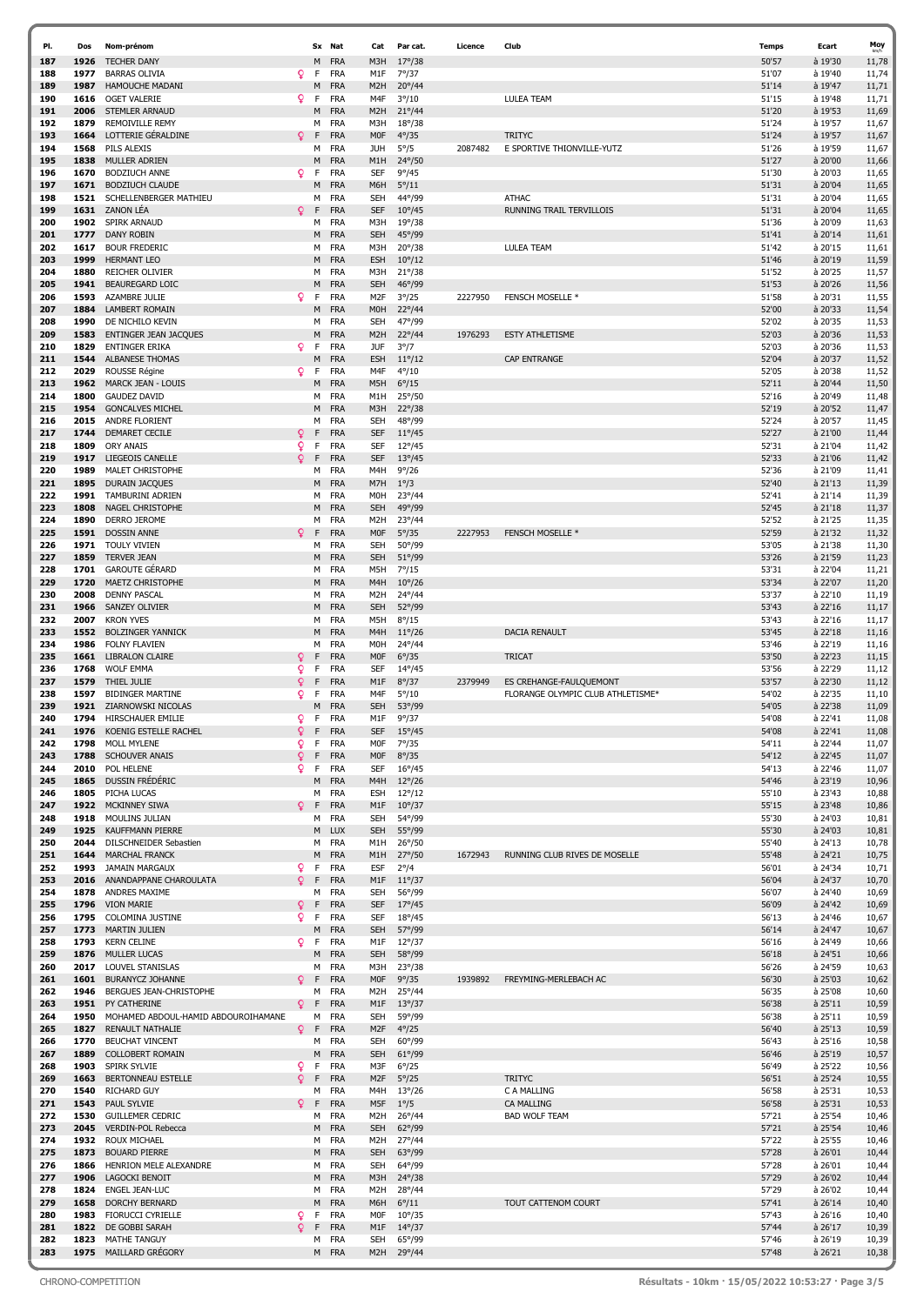| PI.        | Dos          | Nom-prénom                                          |         |        | Sx Nat                   | Cat                      | Par cat.                           | Licence | Club                              | <b>Temps</b>   | Ecart                | Moy            |
|------------|--------------|-----------------------------------------------------|---------|--------|--------------------------|--------------------------|------------------------------------|---------|-----------------------------------|----------------|----------------------|----------------|
| 187        | 1926         | <b>TECHER DANY</b>                                  |         | М      | <b>FRA</b>               | M3H                      | $17^{\circ}/38$                    |         |                                   | 50'57          | à 19'30              | 11,78          |
| 188        | 1977         | <b>BARRAS OLIVIA</b>                                | Q       | F      | <b>FRA</b>               | M1F                      | 7°/37                              |         |                                   | 51'07          | à 19'40              | 11,74          |
| 189        | 1987         | <b>HAMOUCHE MADANI</b>                              |         | М      | <b>FRA</b>               | M <sub>2</sub> H         | $20^{\circ}/44$                    |         |                                   | 51'14          | à 19'47              | 11,71          |
| 190        | 1616         | <b>OGET VALERIE</b>                                 | Q.      | F      | <b>FRA</b>               | M4F                      | $3^{\circ}/10$                     |         | <b>LULEA TEAM</b>                 | 51'15          | à 19'48              | 11,71          |
| 191<br>192 | 2006<br>1879 | <b>STEMLER ARNAUD</b><br><b>REMOIVILLE REMY</b>     |         | М<br>М | <b>FRA</b><br><b>FRA</b> | M <sub>2</sub> H<br>M3H  | $21^{\circ}/44$<br>$18^{\circ}/38$ |         |                                   | 51'20<br>51'24 | à 19'53<br>à 19'57   | 11,69<br>11,67 |
| 193        | 1664         | LOTTERIE GÉRALDINE                                  | Q       | F      | <b>FRA</b>               | <b>MOF</b>               | $4^{\circ}/35$                     |         | <b>TRITYC</b>                     | 51'24          | à 19'57              | 11,67          |
| 194        | 1568         | <b>PILS ALEXIS</b>                                  |         | м      | <b>FRA</b>               | JUH                      | $5^{\circ}/5$                      | 2087482 | E SPORTIVE THIONVILLE-YUTZ        | 51'26          | à 19'59              | 11,67          |
| 195        | 1838         | <b>MULLER ADRIEN</b>                                |         | Μ      | <b>FRA</b>               | M1H                      | 24°/50                             |         |                                   | 51'27          | à 20'00              | 11,66          |
| 196        | 1670         | <b>BODZIUCH ANNE</b>                                | Q.      | F      | <b>FRA</b>               | <b>SEF</b>               | $9^{\circ}/45$                     |         |                                   | 51'30          | à 20'03              | 11,65          |
| 197<br>198 | 1671<br>1521 | <b>BODZIUCH CLAUDE</b><br>SCHELLENBERGER MATHIEU    |         | M<br>М | <b>FRA</b><br><b>FRA</b> | M6H<br><b>SEH</b>        | $5^{\circ}/11$<br>44°/99           |         | <b>ATHAC</b>                      | 51'31<br>51'31 | à 20'04<br>à 20'04   | 11,65<br>11,65 |
| 199        | 1631         | <b>ZANON LÉA</b>                                    | Q       | F      | <b>FRA</b>               | <b>SEF</b>               | $10^{\circ}/45$                    |         | RUNNING TRAIL TERVILLOIS          | 51'31          | à 20'04              | 11,65          |
| 200        | 1902         | <b>SPIRK ARNAUD</b>                                 |         | м      | <b>FRA</b>               | M3H                      | $19^{\circ}/38$                    |         |                                   | 51'36          | à 20'09              | 11,63          |
| 201        | 1777         | <b>DANY ROBIN</b>                                   |         | M      | <b>FRA</b>               | <b>SEH</b>               | 45°/99                             |         |                                   | 51'41          | à 20'14              | 11,61          |
| 202        | 1617         | <b>BOUR FREDERIC</b>                                |         | м      | <b>FRA</b>               | M3H                      | $20^{\circ}/38$                    |         | LULEA TEAM                        | 51'42          | à 20'15              | 11,61          |
| 203        | 1999         | <b>HERMANT LEO</b>                                  |         | M      | <b>FRA</b>               | <b>ESH</b>               | $10^{\circ}/12$                    |         |                                   | 51'46          | à 20'19              | 11,59          |
| 204        | 1880         | <b>REICHER OLIVIER</b>                              |         | м      | <b>FRA</b>               | M3H                      | $21^{\circ}/38$                    |         |                                   | 51'52          | à 20'25              | 11,57          |
| 205<br>206 | 1941<br>1593 | <b>BEAUREGARD LOIC</b><br>AZAMBRE JULIE             | Q       | Μ<br>F | <b>FRA</b><br><b>FRA</b> | <b>SEH</b><br>M2F        | 46°/99<br>$3^{\circ}/25$           | 2227950 | <b>FENSCH MOSELLE *</b>           | 51'53<br>51'58 | à 20'26<br>à 20'31   | 11,56<br>11,55 |
| 207        | 1884         | <b>LAMBERT ROMAIN</b>                               |         | М      | <b>FRA</b>               | M <sub>O</sub> H         | $22^{\circ}/44$                    |         |                                   | 52'00          | à 20'33              | 11,54          |
| 208        | 1990         | DE NICHILO KEVIN                                    |         | м      | <b>FRA</b>               | <b>SEH</b>               | 47°/99                             |         |                                   | 52'02          | à 20'35              | 11,53          |
| 209        | 1583         | <b>ENTINGER JEAN JACQUES</b>                        |         | М      | <b>FRA</b>               | M <sub>2</sub> H         | 22°/44                             | 1976293 | <b>ESTY ATHLETISME</b>            | 52'03          | à 20'36              | 11,53          |
| 210        | 1829         | <b>ENTINGER ERIKA</b>                               | Q.      | F      | <b>FRA</b>               | JUF                      | $3^{\circ}/7$                      |         |                                   | 52'03          | à 20'36              | 11,53          |
| 211        | 1544         | <b>ALBANESE THOMAS</b>                              |         | М      | <b>FRA</b>               | <b>ESH</b>               | $11^{\circ}/12$                    |         | <b>CAP ENTRANGE</b>               | 52'04          | à 20'37              | 11,52          |
| 212<br>213 | 2029<br>1962 | ROUSSE Régine<br><b>MARCK JEAN - LOUIS</b>          | Q       | F<br>M | <b>FRA</b><br><b>FRA</b> | M4F<br>M5H               | $4^{\circ}/10$<br>$6^{\circ}/15$   |         |                                   | 52'05<br>52'11 | à 20'38<br>à 20'44   | 11,52<br>11,50 |
| 214        | 1800         | <b>GAUDEZ DAVID</b>                                 |         | м      | <b>FRA</b>               | M1H                      | $25^{\circ}/50$                    |         |                                   | 52'16          | à 20'49              | 11,48          |
| 215        | 1954         | <b>GONCALVES MICHEL</b>                             |         | M      | <b>FRA</b>               | M3H                      | $22^{\circ}/38$                    |         |                                   | 52'19          | à 20'52              | 11,47          |
| 216        | 2015         | ANDRE FLORIENT                                      |         | М      | <b>FRA</b>               | <b>SEH</b>               | 48°/99                             |         |                                   | 52'24          | à 20'57              | 11,45          |
| 217        | 1744         | <b>DEMARET CECILE</b>                               | Q       | F      | <b>FRA</b>               | <b>SEF</b>               | $11^{\circ}/45$                    |         |                                   | 52'27          | à 21'00              | 11,44          |
| 218        | 1809         | <b>ORY ANAIS</b>                                    | Q       | F      | <b>FRA</b>               | <b>SEF</b>               | $12^{\circ}/45$                    |         |                                   | 52'31          | à 21'04              | 11,42          |
| 219        | 1917         | LIEGEOIS CANELLE                                    | Q       | F      | <b>FRA</b>               | <b>SEF</b>               | $13^{\circ}/45$                    |         |                                   | 52'33          | à 21'06              | 11,42          |
| 220<br>221 | 1989<br>1895 | MALET CHRISTOPHE<br><b>DURAIN JACQUES</b>           |         | м<br>M | <b>FRA</b><br><b>FRA</b> | M4H<br>M7H               | 9°/26<br>$1^{\circ}/3$             |         |                                   | 52'36<br>52'40 | à 21'09<br>à 21'13   | 11,41<br>11,39 |
| 222        | 1991         | <b>TAMBURINI ADRIEN</b>                             |         | м      | <b>FRA</b>               | M <sub>O</sub> H         | 23°/44                             |         |                                   | 52'41          | à 21'14              | 11,39          |
| 223        | 1808         | NAGEL CHRISTOPHE                                    |         | Μ      | <b>FRA</b>               | <b>SEH</b>               | 49°/99                             |         |                                   | 52'45          | à 21'18              | 11,37          |
| 224        | 1890         | <b>DERRO JEROME</b>                                 |         | м      | <b>FRA</b>               | M <sub>2</sub> H         | 23°/44                             |         |                                   | 52'52          | à 21'25              | 11,35          |
| 225        | 1591         | <b>DOSSIN ANNE</b>                                  | Q.      | F      | <b>FRA</b>               | <b>MOF</b>               | $5^{\circ}/35$                     | 2227953 | <b>FENSCH MOSELLE *</b>           | 52'59          | à 21'32              | 11,32          |
| 226        | 1971         | <b>TOULY VIVIEN</b>                                 |         | м      | <b>FRA</b>               | <b>SEH</b>               | 50°/99                             |         |                                   | 53'05          | à 21'38              | 11,30          |
| 227<br>228 | 1859<br>1701 | <b>TERVER JEAN</b><br><b>GAROUTE GÉRARD</b>         |         | M      | <b>FRA</b><br><b>FRA</b> | <b>SEH</b><br>M5H        | 51°/99<br>$7^{\circ}/15$           |         |                                   | 53'26<br>53'31 | à 21'59<br>à 22'04   | 11,23          |
| 229        | 1720         | MAETZ CHRISTOPHE                                    |         | м<br>M | <b>FRA</b>               | M4H                      | $10^{\circ}/26$                    |         |                                   | 53'34          | à 22'07              | 11,21<br>11,20 |
| 230        | 2008         | <b>DENNY PASCAL</b>                                 |         | м      | <b>FRA</b>               | M <sub>2</sub> H         | 24°/44                             |         |                                   | 53'37          | à 22'10              | 11,19          |
| 231        | 1966         | <b>SANZEY OLIVIER</b>                               |         | M      | <b>FRA</b>               | <b>SEH</b>               | 52°/99                             |         |                                   | 53'43          | à 22'16              | 11,17          |
| 232        | 2007         | <b>KRON YVES</b>                                    |         | м      | <b>FRA</b>               | M5H                      | $8^{\circ}/15$                     |         |                                   | 53'43          | à 22'16              | 11,17          |
| 233        | 1552         | <b>BOLZINGER YANNICK</b>                            |         | M      | <b>FRA</b>               | M4H                      | $11^{\circ}/26$                    |         | <b>DACIA RENAULT</b>              | 53'45          | à 22'18              | 11,16          |
| 234        | 1986         | <b>FOLNY FLAVIEN</b>                                |         | М      | <b>FRA</b>               | M0H                      | 24°/44                             |         |                                   | 53'46          | à 22'19              | 11,16          |
| 235<br>236 | 1661<br>1768 | <b>LIBRALON CLAIRE</b><br><b>WOLF EMMA</b>          | Q<br>Q  | F<br>F | <b>FRA</b><br><b>FRA</b> | <b>MOF</b><br><b>SEF</b> | $6^{\circ}/35$<br>$14^{\circ}/45$  |         | <b>TRICAT</b>                     | 53'50<br>53'56 | à 22'23<br>à 22'29   | 11,15<br>11,12 |
| 237        | 1579         | THIEL JULIE                                         | Q       | F      | <b>FRA</b>               | M1F                      | $8^{\circ}/37$                     | 2379949 | ES CREHANGE-FAULQUEMONT           | 53'57          | à 22'30              | 11,12          |
| 238        | 1597         | <b>BIDINGER MARTINE</b>                             | Q.      | F      | <b>FRA</b>               | M4F                      | $5^{\circ}/10$                     |         | FLORANGE OLYMPIC CLUB ATHLETISME* | 54'02          | à 22'35              | 11,10          |
| 239        | 1921         | ZIARNOWSKI NICOLAS                                  |         | М      | <b>FRA</b>               | <b>SEH</b>               | 53°/99                             |         |                                   | 54'05          | à 22'38              | 11,09          |
| 240        | 1794         | HIRSCHAUER EMILIE                                   | Q       | F      | <b>FRA</b>               | M1F                      | 9°/37                              |         |                                   | 54'08          | à 22'41              | 11,08          |
| 241        | 1976         | KOENIG ESTELLE RACI                                 | $\circ$ |        | <b>FRA</b>               | <b>SEF</b>               | $15^{\circ}/45$                    |         |                                   | 54'08          | à 22'41              | 11,08          |
| 242<br>243 | 1798<br>1788 | MOLL MYLENE<br><b>SCHOUVER ANAIS</b>                | Q<br>Q  | F<br>F | <b>FRA</b><br><b>FRA</b> | M0F<br><b>MOF</b>        | $7^{\circ}/35$<br>$8^{\circ}/35$   |         |                                   | 54'11<br>54'12 | à 22'44<br>à 22'45   | 11,07<br>11,07 |
| 244        | 2010         | POL HELENE                                          | Q       | F      | <b>FRA</b>               | <b>SEF</b>               | $16^{\circ}/45$                    |         |                                   | 54'13          | à 22'46              | 11,07          |
| 245        | 1865         | DUSSIN FRÉDÉRIC                                     |         | M      | <b>FRA</b>               | M4H                      | $12^{\circ}/26$                    |         |                                   | 54'46          | à 23'19              | 10,96          |
| 246        | 1805         | PICHA LUCAS                                         |         | М      | <b>FRA</b>               | ESH                      | $12^{\circ}/12$                    |         |                                   | 55'10          | à 23'43              | 10,88          |
| 247        | 1922         | MCKINNEY SIWA                                       | Q       | F      | <b>FRA</b>               | M1F                      | $10^{\circ}/37$                    |         |                                   | 55'15          | à 23'48              | 10,86          |
| 248        | 1918         | MOULINS JULIAN                                      |         | м      | <b>FRA</b>               | <b>SEH</b>               | 54°/99                             |         |                                   | 55'30          | à 24'03              | 10,81          |
| 249<br>250 | 1925<br>2044 | <b>KAUFFMANN PIERRE</b><br>DILSCHNEIDER Sebastien   |         | M<br>м | <b>LUX</b><br>FRA        | <b>SEH</b><br>M1H        | 55°/99<br>$26^{\circ}/50$          |         |                                   | 55'30<br>55'40 | à 24'03<br>à 24'13   | 10,81<br>10,78 |
| 251        | 1644         | <b>MARCHAL FRANCK</b>                               |         | M      | <b>FRA</b>               | M1H                      | $27^{\circ}/50$                    | 1672943 | RUNNING CLUB RIVES DE MOSELLE     | 55'48          | à 24'21              | 10,75          |
| 252        | 1993         | <b>JAMAIN MARGAUX</b>                               | Q       | F      | <b>FRA</b>               | ESF                      | $2^{\circ}/4$                      |         |                                   | 56'01          | à 24'34              | 10,71          |
| 253        | 2016         | ANANDAPPANE CHAROULATA                              | Q       | F      | <b>FRA</b>               | M1F                      | $11^{\circ}/37$                    |         |                                   | 56'04          | à 24'37              | 10,70          |
| 254        |              | 1878 ANDRES MAXIME                                  |         | М      | <b>FRA</b>               | <b>SEH</b>               | 56°/99                             |         |                                   | 56'07          | à 24'40              | 10,69          |
| 255<br>256 | 1795         | 1796 VION MARIE<br>COLOMINA JUSTINE                 | Q<br>Q  | F<br>F | <b>FRA</b><br>FRA        | <b>SEF</b><br>SEF        | $17^{\circ}/45$<br>$18^{\circ}/45$ |         |                                   | 56'09<br>56'13 | à 24'42              | 10,69          |
| 257        | 1773         | <b>MARTIN JULIEN</b>                                |         | M      | <b>FRA</b>               | <b>SEH</b>               | 57°/99                             |         |                                   | 56'14          | à 24'46<br>à 24'47   | 10,67<br>10,67 |
| 258        | 1793         | <b>KERN CELINE</b>                                  | Q       | F      | <b>FRA</b>               | M1F                      | $12^{\circ}/37$                    |         |                                   | 56'16          | à 24'49              | 10,66          |
| 259        | 1876         | <b>MULLER LUCAS</b>                                 |         | М      | <b>FRA</b>               | <b>SEH</b>               | 58°/99                             |         |                                   | 56'18          | à 24'51              | 10,66          |
| 260        | 2017         | LOUVEL STANISLAS                                    |         | м      | <b>FRA</b>               | M3H                      | $23^{\circ}/38$                    |         |                                   | 56'26          | à 24'59              | 10,63          |
| 261        | 1601         | <b>BURANYCZ JOHANNE</b>                             | Q.      | F      | <b>FRA</b>               | <b>MOF</b>               | $9^{\circ}/35$                     | 1939892 | FREYMING-MERLEBACH AC             | 56'30          | à 25'03              | 10,62          |
| 262        | 1946         | BERGUES JEAN-CHRISTOPHE                             |         | М      | <b>FRA</b>               | M2H                      | $25^{\circ}/44$                    |         |                                   | 56'35          | à 25'08              | 10,60          |
| 263<br>264 | 1951<br>1950 | PY CATHERINE<br>MOHAMED ABDOUL-HAMID ABDOUROIHAMANE | Q.      | F<br>М | <b>FRA</b><br><b>FRA</b> | M1F<br><b>SEH</b>        | $13^{\circ}/37$<br>59°/99          |         |                                   | 56'38<br>56'38 | à 25'11<br>à 25'11   | 10,59<br>10,59 |
| 265        | 1827         | RENAULT NATHALIE                                    | Q       | F      | <b>FRA</b>               | M <sub>2F</sub>          | $4^{\circ}/25$                     |         |                                   | 56'40          | à 25'13              | 10,59          |
| 266        | 1770         | <b>BEUCHAT VINCENT</b>                              |         | М      | <b>FRA</b>               | <b>SEH</b>               | $60^{\circ}/99$                    |         |                                   | 56'43          | à 25'16              | 10,58          |
| 267        | 1889         | <b>COLLOBERT ROMAIN</b>                             |         | М      | <b>FRA</b>               | <b>SEH</b>               | $61^{\circ}/99$                    |         |                                   | 56'46          | à 25'19              | 10,57          |
| 268        | 1903         | SPIRK SYLVIE                                        | Q       | F      | <b>FRA</b>               | M3F                      | $6^{\circ}/25$                     |         |                                   | 56'49          | à 25'22              | 10,56          |
| 269        | 1663         | <b>BERTONNEAU ESTELLE</b>                           | Q       | F      | <b>FRA</b>               | M <sub>2F</sub>          | $5^{\circ}/25$                     |         | <b>TRITYC</b>                     | 56'51          | à 25'24              | 10,55          |
| 270<br>271 | 1540<br>1543 | <b>RICHARD GUY</b><br>PAUL SYLVIE                   | Q       | М<br>F | <b>FRA</b><br><b>FRA</b> | M4H<br>M5F               | $13^{\circ}/26$<br>$1^{\circ}/5$   |         | C A MALLING<br><b>CA MALLING</b>  | 56'58<br>56'58 | à 25'31<br>à 25'31   | 10,53<br>10,53 |
| 272        | 1530         | <b>GUILLEMER CEDRIC</b>                             |         | М      | <b>FRA</b>               | M2H                      | $26^{\circ}/44$                    |         | <b>BAD WOLF TEAM</b>              | 57'21          | à 25'54              | 10,46          |
| 273        | 2045         | <b>VERDIN-POL Rebecca</b>                           |         | M      | <b>FRA</b>               | <b>SEH</b>               | $62^{\circ}/99$                    |         |                                   | 57'21          | à 25'54              | 10,46          |
| 274        | 1932         | <b>ROUX MICHAEL</b>                                 |         | M      | <b>FRA</b>               | M2H                      | 27°/44                             |         |                                   | 57'22          | à 25'55              | 10,46          |
| 275        | 1873         | <b>BOUARD PIERRE</b>                                |         | M      | <b>FRA</b>               | <b>SEH</b>               | 63°/99                             |         |                                   | 57'28          | à 26'01              | 10,44          |
| 276        | 1866         | HENRION MELE ALEXANDRE                              |         | м      | <b>FRA</b>               | SEH                      | 64°/99                             |         |                                   | 57'28          | à 26'01              | 10,44          |
| 277<br>278 | 1906<br>1824 | <b>LAGOCKI BENOIT</b><br>ENGEL JEAN-LUC             |         | M<br>м | <b>FRA</b><br><b>FRA</b> | M3H<br>M <sub>2</sub> H  | $24^{\circ}/38$<br>28°/44          |         |                                   | 57'29<br>57'29 | $a$ 26'02<br>à 26'02 | 10,44          |
| 279        | 1658         | <b>DORCHY BERNARD</b>                               |         | М      | <b>FRA</b>               | M6H                      | $6^{\circ}/11$                     |         | TOUT CATTENOM COURT               | 57'41          | à 26'14              | 10,44<br>10,40 |
| 280        | 1983         | <b>FIORUCCI CYRIELLE</b>                            | Q       | F      | <b>FRA</b>               | M <sub>0</sub> F         | $10^{\circ}/35$                    |         |                                   | 57'43          | à 26'16              | 10,40          |
| 281        | 1822         | DE GOBBI SARAH                                      | Q       | F      | <b>FRA</b>               | M1F                      | $14^{\circ}/37$                    |         |                                   | 57'44          | à 26'17              | 10,39          |
| 282        | 1823         | <b>MATHE TANGUY</b>                                 |         | м      | <b>FRA</b>               | <b>SEH</b>               | 65°/99                             |         |                                   | 57'46          | à 26'19              | 10,39          |
| 283        |              | 1975 MAILLARD GRÉGORY                               |         |        | M FRA                    | M <sub>2</sub> H         | 29°/44                             |         |                                   | 57'48          | à 26'21              | 10,38          |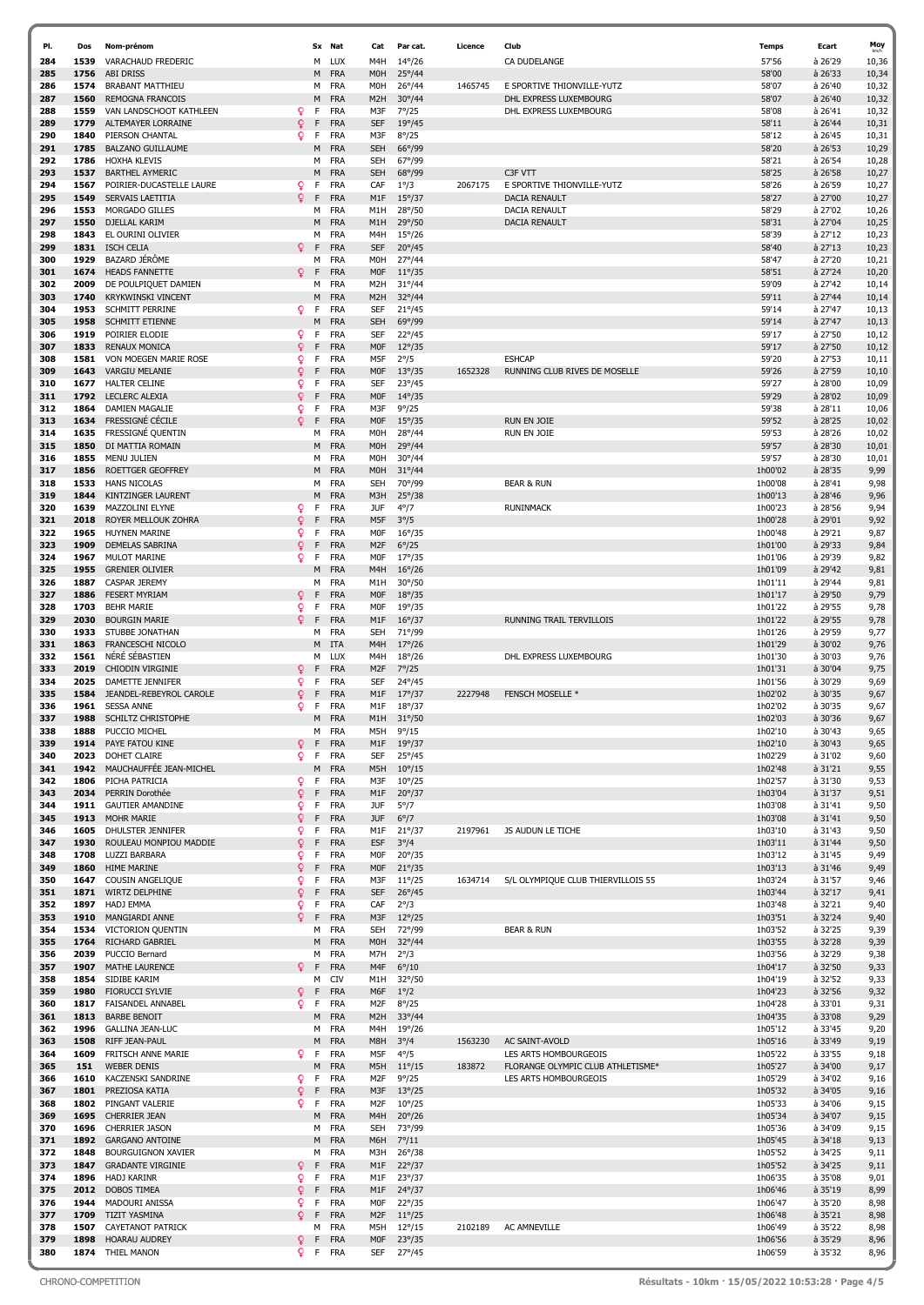| PI.        | Dos          | Nom-prénom                                       |         |         | Sx Nat                   | Cat                            | Par cat.                           | Licence | Club                               | <b>Temps</b>       | Ecart              | Moy            |
|------------|--------------|--------------------------------------------------|---------|---------|--------------------------|--------------------------------|------------------------------------|---------|------------------------------------|--------------------|--------------------|----------------|
| 284        | 1539         | VARACHAUD FREDERIC                               |         | м       | LUX                      | M4H                            | $14^{\circ}/26$                    |         | CA DUDELANGE                       | 57'56              | à 26'29            | 10,36          |
| 285        | 1756         | <b>ABI DRISS</b>                                 |         | M       | <b>FRA</b>               | M <sub>O</sub> H               | $25^{\circ}/44$                    |         |                                    | 58'00              | à 26'33            | 10,34          |
| 286        | 1574         | <b>BRABANT MATTHIEU</b>                          |         |         | M FRA                    | M <sub>O</sub> H               | $26^{\circ}/44$                    | 1465745 | E SPORTIVE THIONVILLE-YUTZ         | 58'07              | à 26'40            | 10,32          |
| 287        | 1560         | <b>REMOGNA FRANCOIS</b>                          |         | м       | <b>FRA</b>               | M <sub>2</sub> H               | $30^{\circ}/44$                    |         | DHL EXPRESS LUXEMBOURG             | 58'07              | à 26'40            | 10,32          |
| 288        | 1559         | VAN LANDSCHOOT KATHLEEN                          | Q       | F.      | <b>FRA</b>               | M3F                            | $7^{\circ}/25$                     |         | DHL EXPRESS LUXEMBOURG             | 58'08              | à 26'41            | 10,32          |
| 289        | 1779         | ALTEMAYER LORRAINE                               | Q       | F       | <b>FRA</b>               | <b>SEF</b>                     | $19^{\circ}/45$                    |         |                                    | 58'11              | à 26'44            | 10,31          |
| 290        | 1840         | PIERSON CHANTAL                                  | Q       | F       | <b>FRA</b>               | M3F                            | $8^{\circ}/25$                     |         |                                    | 58'12              | à 26'45            | 10,31          |
| 291        | 1785<br>1786 | <b>BALZANO GUILLAUME</b>                         |         | м       | <b>FRA</b>               | <b>SEH</b>                     | 66°/99                             |         |                                    | 58'20              | à 26'53            | 10,29          |
| 292<br>293 | 1537         | <b>HOXHA KLEVIS</b><br><b>BARTHEL AYMERIC</b>    |         | м<br>М  | <b>FRA</b><br><b>FRA</b> | <b>SEH</b><br><b>SEH</b>       | 67°/99<br>68°/99                   |         | C3F VTT                            | 58'21<br>58'25     | à 26'54<br>à 26'58 | 10,28<br>10,27 |
| 294        | 1567         | POIRIER-DUCASTELLE LAURE                         | ¥       | F.      | <b>FRA</b>               | CAF                            | $1^{\circ}/3$                      | 2067175 | E SPORTIVE THIONVILLE-YUTZ         | 58'26              | à 26'59            | 10,27          |
| 295        | 1549         | SERVAIS LAETITIA                                 | Q       | F       | <b>FRA</b>               | M1F                            | $15^{\circ}/37$                    |         | <b>DACIA RENAULT</b>               | 58'27              | à 27'00            | 10,27          |
| 296        | 1553         | MORGADO GILLES                                   |         | м       | <b>FRA</b>               | M1H                            | 28°/50                             |         | <b>DACIA RENAULT</b>               | 58'29              | à 27'02            | 10,26          |
| 297        | 1550         | DJELLAL KARIM                                    |         | м       | <b>FRA</b>               | M <sub>1</sub> H               | 29°/50                             |         | <b>DACIA RENAULT</b>               | 58'31              | à 27'04            | 10,25          |
| 298        | 1843         | EL OURINI OLIVIER                                |         | м       | <b>FRA</b>               | M4H                            | $15^{\circ}/26$                    |         |                                    | 58'39              | à 27'12            | 10,23          |
| 299        | 1831         | <b>ISCH CELIA</b>                                | Ω       | F       | <b>FRA</b>               | <b>SEF</b>                     | $20^{\circ}/45$                    |         |                                    | 58'40              | à 27'13            | 10,23          |
| 300        | 1929         | BAZARD JÉRÔME                                    |         | м       | <b>FRA</b>               | <b>MOH</b>                     | $27^{\circ}/44$                    |         |                                    | 58'47              | à 27'20            | 10,21          |
| 301        | 1674         | <b>HEADS FANNETTE</b>                            | Q.      | F       | <b>FRA</b>               | <b>MOF</b>                     | $11^{\circ}/35$                    |         |                                    | 58'51              | à 27'24            | 10,20          |
| 302        | 2009         | DE POULPIQUET DAMIEN                             |         | м       | <b>FRA</b>               | M <sub>2</sub> H               | $31^{\circ}/44$                    |         |                                    | 59'09              | à 27'42            | 10,14          |
| 303        | 1740         | <b>KRYKWINSKI VINCENT</b>                        |         | м       | <b>FRA</b>               | M <sub>2</sub> H               | 32°/44                             |         |                                    | 59'11              | $a$ 27'44          | 10,14          |
| 304<br>305 | 1953<br>1958 | <b>SCHMITT PERRINE</b><br><b>SCHMITT ETIENNE</b> | Q.      | F<br>м  | <b>FRA</b><br><b>FRA</b> | <b>SEF</b><br><b>SEH</b>       | $21^{\circ}/45$<br>69°/99          |         |                                    | 59'14<br>59'14     | à 27'47<br>à 27'47 | 10,13<br>10,13 |
| 306        | 1919         | POIRIER ELODIE                                   | Q.      | F       | <b>FRA</b>               | <b>SEF</b>                     | $22^{\circ}/45$                    |         |                                    | 59'17              | à 27'50            | 10,12          |
| 307        | 1833         | <b>RENAUX MONICA</b>                             | Q       | F       | <b>FRA</b>               | <b>MOF</b>                     | $12^{\circ}/35$                    |         |                                    | 59'17              | à 27'50            | 10,12          |
| 308        | 1581         | VON MOEGEN MARIE ROSE                            | Q       | F       | <b>FRA</b>               | M5F                            | $2^{\circ}/5$                      |         | <b>ESHCAP</b>                      | 59'20              | à 27'53            | 10,11          |
| 309        | 1643         | <b>VARGIU MELANIE</b>                            | Q.      | F       | <b>FRA</b>               | <b>MOF</b>                     | $13^{\circ}/35$                    | 1652328 | RUNNING CLUB RIVES DE MOSELLE      | 59'26              | à 27'59            | 10, 10         |
| 310        | 1677         | <b>HALTER CELINE</b>                             | Q       | F       | <b>FRA</b>               | <b>SEF</b>                     | $23^{\circ}/45$                    |         |                                    | 59'27              | à 28'00            | 10,09          |
| 311        | 1792         | <b>LECLERC ALEXIA</b>                            | Q       | F       | <b>FRA</b>               | <b>MOF</b>                     | $14^{\circ}/35$                    |         |                                    | 59'29              | à 28'02            | 10,09          |
| 312        | 1864         | <b>DAMIEN MAGALIE</b>                            | Q       | F       | <b>FRA</b>               | M3F                            | $9^{\circ}/25$                     |         |                                    | 59'38              | à 28'11            | 10,06          |
| 313        | 1634         | FRESSIGNÉ CÉCILE                                 | Q       | F       | <b>FRA</b>               | <b>MOF</b>                     | $15^{\circ}/35$                    |         | <b>RUN EN JOIE</b>                 | 59'52              | à 28'25            | 10,02          |
| 314        | 1635         | FRESSIGNÉ QUENTIN                                |         | м       | <b>FRA</b>               | <b>MOH</b>                     | 28°/44                             |         | <b>RUN EN JOIE</b>                 | 59'53              | à 28'26            | 10,02          |
| 315        | 1850         | DI MATTIA ROMAIN                                 |         | м       | <b>FRA</b>               | M <sub>O</sub> H               | 29°/44                             |         |                                    | 59'57              | à 28'30            | 10,01          |
| 316        | 1855         | MENU JULIEN                                      |         |         | M FRA                    | <b>MOH</b>                     | $30^{\circ}/44$                    |         |                                    | 59'57              | à 28'30            | 10,01          |
| 317<br>318 | 1856<br>1533 | <b>ROETTGER GEOFFREY</b><br><b>HANS NICOLAS</b>  |         | м       | <b>FRA</b><br>M FRA      | <b>MOH</b><br><b>SEH</b>       | $31^{\circ}/44$<br>70°/99          |         | <b>BEAR &amp; RUN</b>              | 1h00'02<br>1h00'08 | à 28'35<br>à 28'41 | 9,99<br>9,98   |
| 319        | 1844         | KINTZINGER LAURENT                               |         | M       | <b>FRA</b>               | M3H                            | $25^{\circ}/38$                    |         |                                    | 1h00'13            | à 28'46            | 9,96           |
| 320        | 1639         | MAZZOLINI ELYNE                                  | Q       | F       | <b>FRA</b>               | JUF                            | $4^{\circ}/7$                      |         | <b>RUNINMACK</b>                   | 1h00'23            | à 28'56            | 9,94           |
| 321        | 2018         | ROYER MELLOUK ZOHRA                              | Q       | F       | <b>FRA</b>               | M5F                            | $3^{\circ}/5$                      |         |                                    | 1h00'28            | à 29'01            | 9,92           |
| 322        | 1965         | HUYNEN MARINE                                    | Q       | F       | <b>FRA</b>               | <b>MOF</b>                     | $16^{\circ}/35$                    |         |                                    | 1h00'48            | à 29'21            | 9,87           |
| 323        | 1909         | <b>DEMELAS SABRINA</b>                           | Q       | F       | <b>FRA</b>               | M <sub>2</sub> F               | $6^{\circ}/25$                     |         |                                    | 1h01'00            | à 29'33            | 9,84           |
| 324        | 1967         | <b>MULOT MARINE</b>                              | Q       | F       | <b>FRA</b>               | <b>MOF</b>                     | $17^{\circ}/35$                    |         |                                    | 1h01'06            | à 29'39            | 9,82           |
| 325        | 1955         | <b>GRENIER OLIVIER</b>                           |         | м       | <b>FRA</b>               | M4H                            | $16^{\circ}/26$                    |         |                                    | 1h01'09            | à 29'42            | 9,81           |
| 326        | 1887         | <b>CASPAR JEREMY</b>                             |         | м       | <b>FRA</b>               | M1H                            | $30^{\circ}/50$                    |         |                                    | 1h01'11            | à 29'44            | 9,81           |
| 327        | 1886         | <b>FESERT MYRIAM</b>                             | Q       | F       | <b>FRA</b>               | <b>MOF</b>                     | $18^{\circ}/35$                    |         |                                    | 1h01'17            | à 29'50            | 9,79           |
| 328        | 1703         | <b>BEHR MARIE</b>                                | Q       | F       | <b>FRA</b>               | <b>MOF</b>                     | $19^{\circ}/35$                    |         |                                    | 1h01'22            | à 29'55            | 9,78           |
| 329<br>330 | 2030<br>1933 | <b>BOURGIN MARIE</b><br>STUBBE JONATHAN          | Q       | F<br>М  | <b>FRA</b><br><b>FRA</b> | M <sub>1</sub> F<br><b>SEH</b> | $16^{\circ}/37$                    |         | RUNNING TRAIL TERVILLOIS           | 1h01'22            | à 29'55<br>à 29'59 | 9,78<br>9,77   |
| 331        | 1863         | <b>FRANCESCHI NICOLO</b>                         |         | м       | ITA                      | M <sub>4</sub> H               | 71°/99<br>$17^{\circ}/26$          |         |                                    | 1h01'26<br>1h01'29 | à 30'02            | 9,76           |
| 332        | 1561         | NÉRÉ SÉBASTIEN                                   |         | м       | LUX                      | M4H                            | $18^{\circ}/26$                    |         | DHL EXPRESS LUXEMBOURG             | 1h01'30            | à 30'03            | 9,76           |
| 333        | 2019         | <b>CHIODIN VIRGINIE</b>                          | Q       | F       | <b>FRA</b>               | M <sub>2F</sub>                | $7^{\circ}/25$                     |         |                                    | 1h01'31            | à 30'04            | 9,75           |
| 334        | 2025         | DAMETTE JENNIFER                                 | Q.      | F       | <b>FRA</b>               | SEF                            | 24°/45                             |         |                                    | 1h01'56            | à 30'29            | 9,69           |
| 335        | 1584         | JEANDEL-REBEYROL CAROLE                          | Q       | F       | <b>FRA</b>               | M <sub>1</sub> F               | $17^{\circ}/37$                    | 2227948 | <b>FENSCH MOSELLE *</b>            | 1h02'02            | à 30'35            | 9,67           |
| 336        | 1961         | <b>SESSA ANNE</b>                                | Q       | F       | <b>FRA</b>               | M1F                            | $18^{\circ}/37$                    |         |                                    | 1h02'02            | à 30'35            | 9,67           |
| 337        |              | 1988 SCHILTZ CHRISTOPHE                          |         | M       | <b>FRA</b>               | M1H                            | $31^{\circ}/50$                    |         |                                    | 1h02'03            | à 30'36            | 9,67           |
| 338        | 1888         | PUCCIO MICHEL                                    |         | м       | FRA                      | M5H                            | $9^{\circ}/15$                     |         |                                    | 1h02'10            | à 30'43            | 9,65           |
| 339        | 1914         | PAYE FATOU KINE                                  | Q.      | F.      | <b>FRA</b>               | M1F                            | $19^{\circ}/37$                    |         |                                    | 1h02'10            | à 30'43            | 9,65           |
| 340<br>341 | 2023<br>1942 | <b>DOHET CLAIRE</b><br>MAUCHAUFFÉE JEAN-MICHEL   | Q.      | F.<br>M | <b>FRA</b><br><b>FRA</b> | SEF<br>M5H                     | $25^{\circ}/45$<br>$10^{\circ}/15$ |         |                                    | 1h02'29<br>1h02'48 | à 31'02<br>à 31'21 | 9,60<br>9,55   |
| 342        | 1806         | PICHA PATRICIA                                   | Q       | F.      | <b>FRA</b>               | M3F                            | $10^{\circ}/25$                    |         |                                    | 1h02'57            | à 31'30            | 9,53           |
| 343        | 2034         | PERRIN Dorothée                                  | Q       | F       | <b>FRA</b>               | M1F                            | $20^{\circ}/37$                    |         |                                    | 1h03'04            | à 31'37            | 9,51           |
| 344        | 1911         | <b>GAUTIER AMANDINE</b>                          | Q       | F       | <b>FRA</b>               | <b>JUF</b>                     | $5^{\circ}/7$                      |         |                                    | 1h03'08            | à 31'41            | 9,50           |
| 345        | 1913         | <b>MOHR MARIE</b>                                | Q       | F       | <b>FRA</b>               | <b>JUF</b>                     | $6^{\circ}/7$                      |         |                                    | 1h03'08            | à 31'41            | 9,50           |
| 346        | 1605         | DHULSTER JENNIFER                                | Q       | F       | <b>FRA</b>               | M1F                            | $21^{\circ}/37$                    | 2197961 | JS AUDUN LE TICHE                  | 1h03'10            | à 31'43            | 9,50           |
| 347        | 1930         | ROULEAU MONPIOU MADDIE                           | ò       | F       | <b>FRA</b>               | <b>ESF</b>                     | $3^{\circ}/4$                      |         |                                    | 1h03'11            | à 31'44            | 9,50           |
| 348        | 1708         | LUZZI BARBARA                                    | Q       | F       | <b>FRA</b>               | M0F                            | $20^{\circ}/35$                    |         |                                    | 1h03'12            | à 31'45            | 9,49           |
| 349        | 1860         | <b>HIME MARINE</b>                               | Q       | F       | <b>FRA</b>               | <b>MOF</b>                     | $21^{\circ}/35$                    |         |                                    | 1h03'13            | à 31'46            | 9,49           |
| 350        | 1647         | COUSIN ANGELIQUE                                 | Q       | F       | <b>FRA</b>               | M3F                            | $11^{\circ}/25$                    | 1634714 | S/L OLYMPIQUE CLUB THIERVILLOIS 55 | 1h03'24            | à 31'57            | 9,46           |
| 351<br>352 | 1897         | 1871 WIRTZ DELPHINE<br>HADJ EMMA                 | Q<br>ò  | F<br>F  | <b>FRA</b><br><b>FRA</b> | <b>SEF</b><br>CAF              | $26^{\circ}/45$<br>$2^{\circ}/3$   |         |                                    | 1h03'44<br>1h03'48 | à 32'17<br>à 32'21 | 9,41<br>9,40   |
| 353        | 1910         | MANGIARDI ANNE                                   | Q       | F       | <b>FRA</b>               | M3F                            | $12^{\circ}/25$                    |         |                                    | 1h03'51            | à 32'24            | 9,40           |
| 354        |              | 1534 VICTORION QUENTIN                           |         | м       | <b>FRA</b>               | <b>SEH</b>                     | 72°/99                             |         | <b>BEAR &amp; RUN</b>              | 1h03'52            | à 32'25            | 9,39           |
| 355        | 1764         | RICHARD GABRIEL                                  |         | м       | <b>FRA</b>               | M <sub>O</sub> H               | $32^{\circ}/44$                    |         |                                    | 1h03'55            | à 32'28            | 9,39           |
| 356        | 2039         | PUCCIO Bernard                                   |         | м       | FRA                      | M7H                            | $2^{\circ}/3$                      |         |                                    | 1h03'56            | à 32'29            | 9,38           |
| 357        | 1907         | MATHE LAURENCE                                   | Q       | F       | <b>FRA</b>               | M4F                            | $6^{\circ}/10$                     |         |                                    | 1h04'17            | à 32'50            | 9,33           |
| 358        | 1854         | SIDIBE KARIM                                     |         | М       | CIV                      | M1H                            | $32^{\circ}/50$                    |         |                                    | 1h04'19            | à 32'52            | 9,33           |
| 359        | 1980         | <b>FIORUCCI SYLVIE</b>                           | Q       | F       | <b>FRA</b>               | M6F                            | $1^{\circ}/2$                      |         |                                    | 1h04'23            | à 32'56            | 9,32           |
| 360        |              | 1817 FAISANDEL ANNABEL                           | Q       | F       | <b>FRA</b>               | M <sub>2F</sub>                | $8^{\circ}/25$                     |         |                                    | 1h04'28            | à 33'01            | 9,31           |
| 361        | 1813<br>1996 | <b>BARBE BENOIT</b>                              |         | м<br>м  | <b>FRA</b><br><b>FRA</b> | M <sub>2</sub> H               | $33^{\circ}/44$                    |         |                                    | 1h04'35            | à 33'08            | 9,29           |
| 362<br>363 | 1508         | <b>GALLINA JEAN-LUC</b><br>RIFF JEAN-PAUL        |         |         | <b>FRA</b>               | M4H<br>M8H                     | $19^{\circ}/26$                    | 1563230 | AC SAINT-AVOLD                     | 1h05'12<br>1h05'16 | à 33'45<br>à 33'49 | 9,20<br>9,19   |
| 364        | 1609         | FRITSCH ANNE MARIE                               | Q       | M<br>F  | <b>FRA</b>               | M5F                            | $3^{\circ}/4$<br>$4^{\circ}/5$     |         | LES ARTS HOMBOURGEOIS              | 1h05'22            | à 33'55            | 9,18           |
| 365        | 151          | <b>WEBER DENIS</b>                               |         | M       | <b>FRA</b>               | M5H                            | $11^{\circ}/15$                    | 183872  | FLORANGE OLYMPIC CLUB ATHLETISME*  | 1h05'27            | à 34'00            | 9,17           |
| 366        | 1610         | KACZENSKI SANDRINE                               | Q.      | F.      | FRA                      | M <sub>2F</sub>                | $9^{\circ}/25$                     |         | LES ARTS HOMBOURGEOIS              | 1h05'29            | à 34'02            | 9,16           |
| 367        | 1801         | PREZIOSA KATIA                                   | Q       | F       | <b>FRA</b>               | M3F                            | $13^{\circ}/25$                    |         |                                    | 1h05'32            | à 34'05            | 9,16           |
| 368        | 1802         | PINGANT VALERIE                                  | Q.      | F       | <b>FRA</b>               | M <sub>2F</sub>                | $10^{\circ}/25$                    |         |                                    | 1h05'33            | à 34'06            | 9,15           |
| 369        | 1695         | <b>CHERRIER JEAN</b>                             |         | M       | <b>FRA</b>               | M4H                            | $20^{\circ}/26$                    |         |                                    | 1h05'34            | à 34'07            | 9,15           |
| 370        | 1696         | <b>CHERRIER JASON</b>                            |         | м       | <b>FRA</b>               | <b>SEH</b>                     | 73°/99                             |         |                                    | 1h05'36            | à 34'09            | 9,15           |
| 371        | 1892         | <b>GARGANO ANTOINE</b>                           |         | м       | <b>FRA</b>               | M6H                            | $7^{\circ}/11$                     |         |                                    | 1h05'45            | à 34'18            | 9,13           |
| 372        | 1848         | <b>BOURGUIGNON XAVIER</b>                        |         |         | M FRA                    | M3H                            | $26^{\circ}/38$                    |         |                                    | 1h05'52            | à 34'25            | 9,11           |
| 373<br>374 | 1847<br>1896 | <b>GRADANTE VIRGINIE</b><br><b>HADJ KARINR</b>   | ₽       | F<br>F. | <b>FRA</b><br><b>FRA</b> | M1F                            | $22^{\circ}/37$                    |         |                                    | 1h05'52<br>1h06'35 | à 34'25<br>à 35'08 | 9,11           |
| 375        | 2012         | <b>DOBOS TIMEA</b>                               | Q<br>Q. | F       | <b>FRA</b>               | M1F<br>M1F                     | $23^{\circ}/37$<br>$24^{\circ}/37$ |         |                                    | 1h06'46            | à 35'19            | 9,01<br>8,99   |
| 376        | 1944         | MADOURI ANISSA                                   | Q       | F       | <b>FRA</b>               | M0F                            | $22^{\circ}/35$                    |         |                                    | 1h06'47            | à 35'20            | 8,98           |
| 377        | 1709         | <b>TIZIT YASMINA</b>                             | Q       | F       | <b>FRA</b>               | M <sub>2F</sub>                | $11^{\circ}/25$                    |         |                                    | 1h06'48            | à 35'21            | 8,98           |
| 378        | 1507         | <b>CAYETANOT PATRICK</b>                         |         |         | M FRA                    | M5H                            | $12^{\circ}/15$                    | 2102189 | AC AMNEVILLE                       | 1h06'49            | à 35'22            | 8,98           |
| 379        | 1898         | HOARAU AUDREY                                    | ¥.      | F       | <b>FRA</b>               | <b>MOF</b>                     | $23^{\circ}/35$                    |         |                                    | 1h06'56            | à 35'29            | 8,96           |
| 380        | 1874         | THIEL MANON                                      | Q.      |         | F FRA                    | SEF                            | 27°/45                             |         |                                    | 1h06'59            | à 35'32            | 8,96           |